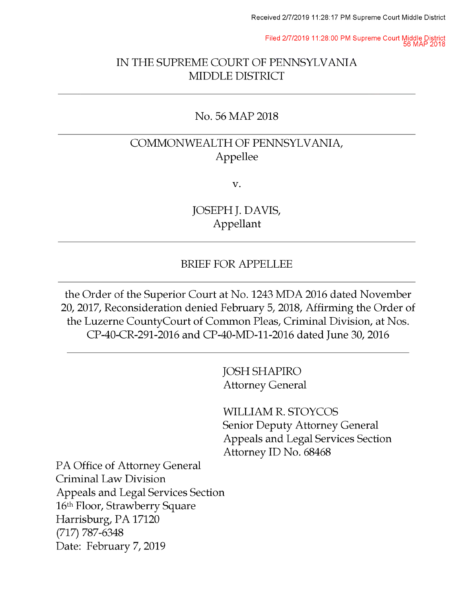Filed 2/7/2019 11:28:00 PM Supreme Court Middle District 56 MAP 2018

### IN THE SUPREME COURT OF PENNSYLVANIA MIDDLE DISTRICT

#### No. 56 MAP 2018

## COMMONWEALTH OF PENNSYLVANIA, Appellee

v.

JOSEPH J. DAVIS, Appellant

#### BRIEF FOR APPELLEE

the Order of the Superior Court at No. 1243 MDA 2016 dated November 20, 2017, Reconsideration denied February 5, 2018, Affirming the Order of the Luzerne CountyCourt of Common Pleas, Criminal Division, at Nos. CP-40-CR-291-2016 and CP-40-MD-11-2016 dated June 30, 2016

> JOSH SHAPIRO Attorney General

WILLIAM R. STOYCOS Senior Deputy Attorney General Appeals and Legal Services Section Attorney ID No. 68468

PA Office of Attorney General Criminal Law Division Appeals and Legal Services Section 16th Floor, Strawberry Square Harrisburg, PA 17120 (717) 787-6348 Date: February 7, 2019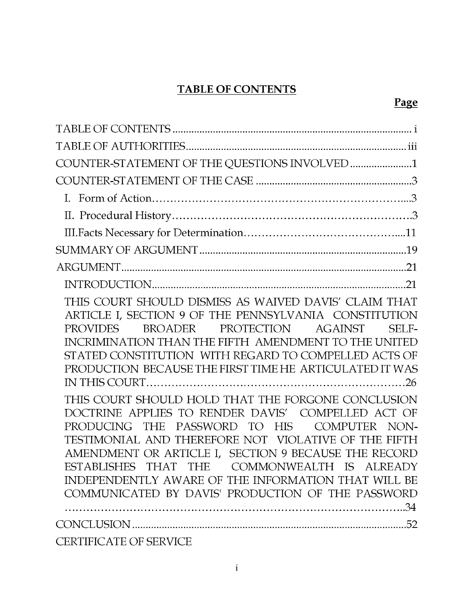## TABLE OF CONTENTS

| COUNTER-STATEMENT OF THE QUESTIONS INVOLVED 1                                                                                                                                                                                                                                                                                                                                                                                                                                                                                                                                                                                                                                                                                                                                       |
|-------------------------------------------------------------------------------------------------------------------------------------------------------------------------------------------------------------------------------------------------------------------------------------------------------------------------------------------------------------------------------------------------------------------------------------------------------------------------------------------------------------------------------------------------------------------------------------------------------------------------------------------------------------------------------------------------------------------------------------------------------------------------------------|
|                                                                                                                                                                                                                                                                                                                                                                                                                                                                                                                                                                                                                                                                                                                                                                                     |
|                                                                                                                                                                                                                                                                                                                                                                                                                                                                                                                                                                                                                                                                                                                                                                                     |
|                                                                                                                                                                                                                                                                                                                                                                                                                                                                                                                                                                                                                                                                                                                                                                                     |
|                                                                                                                                                                                                                                                                                                                                                                                                                                                                                                                                                                                                                                                                                                                                                                                     |
|                                                                                                                                                                                                                                                                                                                                                                                                                                                                                                                                                                                                                                                                                                                                                                                     |
|                                                                                                                                                                                                                                                                                                                                                                                                                                                                                                                                                                                                                                                                                                                                                                                     |
|                                                                                                                                                                                                                                                                                                                                                                                                                                                                                                                                                                                                                                                                                                                                                                                     |
| THIS COURT SHOULD DISMISS AS WAIVED DAVIS' CLAIM THAT<br>ARTICLE I, SECTION 9 OF THE PENNSYLVANIA CONSTITUTION<br>BROADER PROTECTION AGAINST<br>PROVIDES<br>SELF-<br>INCRIMINATION THAN THE FIFTH AMENDMENT TO THE UNITED<br>STATED CONSTITUTION WITH REGARD TO COMPELLED ACTS OF<br>PRODUCTION BECAUSE THE FIRST TIME HE ARTICULATED IT WAS<br>THIS COURT SHOULD HOLD THAT THE FORGONE CONCLUSION<br>DOCTRINE APPLIES TO RENDER DAVIS' COMPELLED ACT OF<br>PRODUCING THE PASSWORD TO HIS COMPUTER NON-<br>TESTIMONIAL AND THEREFORE NOT VIOLATIVE OF THE FIFTH<br>AMENDMENT OR ARTICLE I, SECTION 9 BECAUSE THE RECORD<br>ESTABLISHES THAT THE COMMONWEALTH IS ALREADY<br>INDEPENDENTLY AWARE OF THE INFORMATION THAT WILL BE<br>COMMUNICATED BY DAVIS' PRODUCTION OF THE PASSWORD |
|                                                                                                                                                                                                                                                                                                                                                                                                                                                                                                                                                                                                                                                                                                                                                                                     |
| CERTIFICATE OF SERVICE                                                                                                                                                                                                                                                                                                                                                                                                                                                                                                                                                                                                                                                                                                                                                              |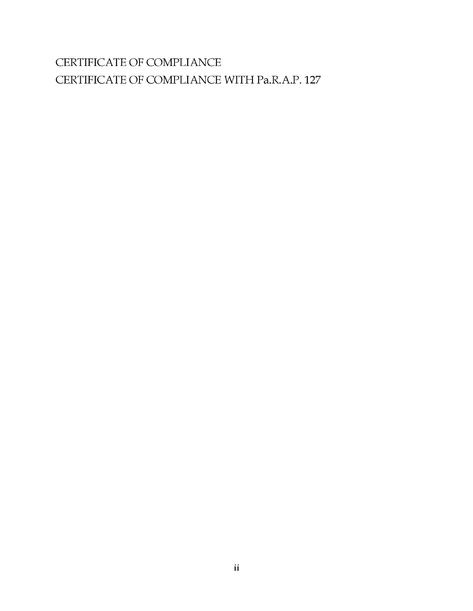# CERTIFICATE OF COMPLIANCE CERTIFICATE OF COMPLIANCE WITH Pa.R.A.P. 127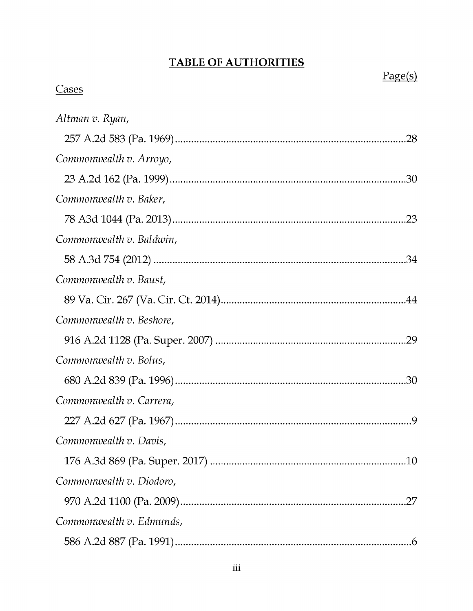## TABLE OF AUTHORITIES

# Page(s)

## **Cases**

| Altman v. Ryan,          |  |
|--------------------------|--|
|                          |  |
| Commonwealth v. Arroyo,  |  |
|                          |  |
| Commonwealth v. Baker,   |  |
|                          |  |
| Commonwealth v. Baldwin, |  |
|                          |  |
| Commonwealth v. Baust,   |  |
|                          |  |
| Commonwealth v. Beshore, |  |
|                          |  |
| Commonwealth v. Bolus,   |  |
|                          |  |
| Commonwealth v. Carrera, |  |
|                          |  |
| Commonwealth v. Davis,   |  |
|                          |  |
| Commonwealth v. Diodoro, |  |
|                          |  |
| Commonwealth v. Edmunds, |  |
|                          |  |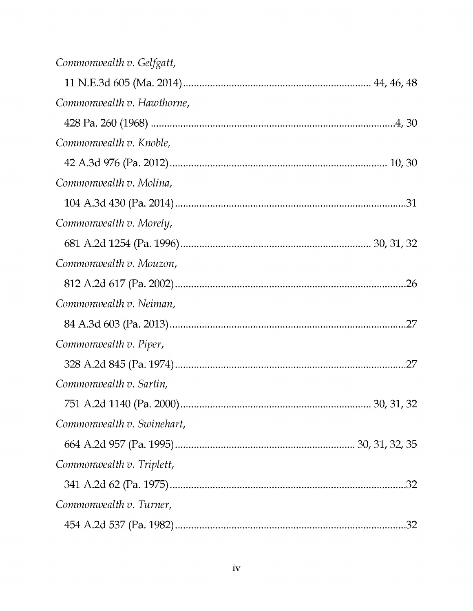| Commonwealth v. Gelfgatt,  |  |
|----------------------------|--|
|                            |  |
| Commonwealth v. Hawthorne, |  |
|                            |  |
| Commonwealth v. Knoble,    |  |
|                            |  |
| Commonwealth v. Molina,    |  |
|                            |  |
| Commonwealth v. Morely,    |  |
|                            |  |
| Commonwealth v. Mouzon,    |  |
|                            |  |
| Commonwealth v. Neiman,    |  |
|                            |  |
| Commonwealth v. Piper,     |  |
|                            |  |
| Commonwealth v. Sartin,    |  |
|                            |  |
| Commonwealth v. Swinehart, |  |
|                            |  |
| Commonwealth v. Triplett,  |  |
|                            |  |
| Commonwealth v. Turner,    |  |
|                            |  |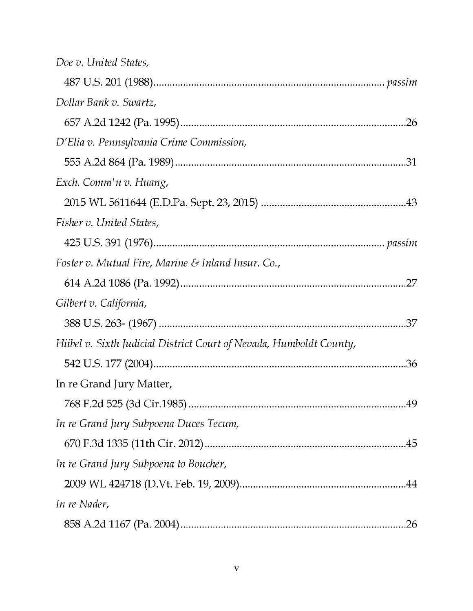| Doe v. United States,                                               |  |
|---------------------------------------------------------------------|--|
|                                                                     |  |
| Dollar Bank v. Swartz,                                              |  |
|                                                                     |  |
| D'Elia v. Pennsylvania Crime Commission,                            |  |
|                                                                     |  |
| Exch. Comm'n v. Huang,                                              |  |
|                                                                     |  |
| Fisher v. United States,                                            |  |
|                                                                     |  |
| Foster v. Mutual Fire, Marine & Inland Insur. Co.,                  |  |
|                                                                     |  |
| Gilbert v. California,                                              |  |
|                                                                     |  |
| Hiibel v. Sixth Judicial District Court of Nevada, Humboldt County, |  |
|                                                                     |  |
| In re Grand Jury Matter,                                            |  |
|                                                                     |  |
| In re Grand Jury Subpoena Duces Tecum,                              |  |
|                                                                     |  |
| In re Grand Jury Subpoena to Boucher,                               |  |
|                                                                     |  |
| In re Nader,                                                        |  |
| .26                                                                 |  |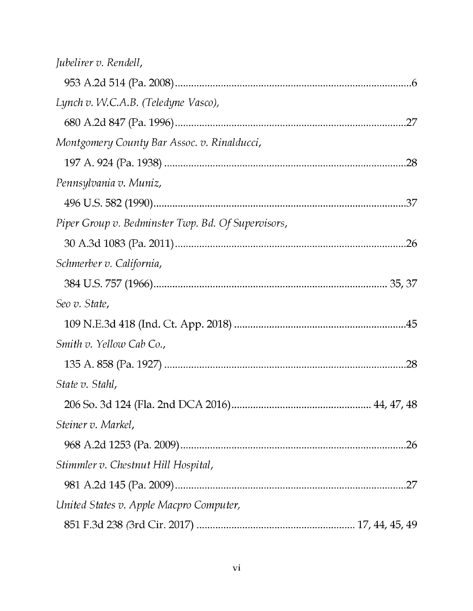| Jubelirer v. Rendell,                              |  |
|----------------------------------------------------|--|
|                                                    |  |
| Lynch v. W.C.A.B. (Teledyne Vasco),                |  |
|                                                    |  |
| Montgomery County Bar Assoc. v. Rinalducci,        |  |
|                                                    |  |
| Pennsylvania v. Muniz,                             |  |
|                                                    |  |
| Piper Group v. Bedminster Twp. Bd. Of Supervisors, |  |
|                                                    |  |
| Schmerber v. California,                           |  |
|                                                    |  |
| Seo v. State,                                      |  |
|                                                    |  |
| Smith v. Yellow Cab Co.,                           |  |
|                                                    |  |
| State v. Stahl,                                    |  |
|                                                    |  |
| Steiner v. Markel,                                 |  |
|                                                    |  |
| Stimmler v. Chestnut Hill Hospital,                |  |
|                                                    |  |
| United States v. Apple Macpro Computer,            |  |
|                                                    |  |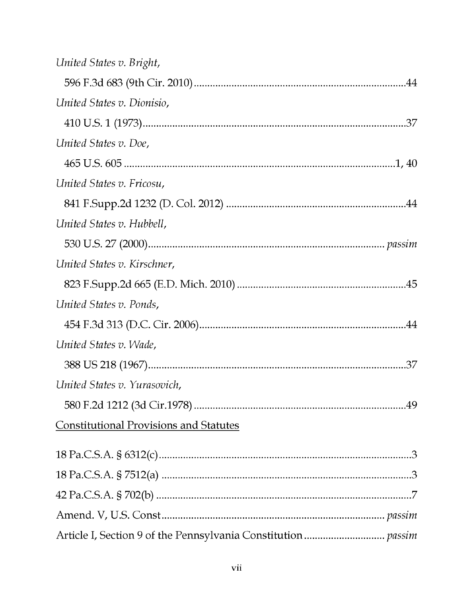| United States v. Bright,                      |
|-----------------------------------------------|
|                                               |
| United States v. Dionisio,                    |
|                                               |
| United States v. Doe,                         |
|                                               |
| United States v. Fricosu,                     |
|                                               |
| United States v. Hubbell,                     |
|                                               |
| United States v. Kirschner,                   |
|                                               |
| United States v. Ponds,                       |
|                                               |
| United States v. Wade,                        |
|                                               |
| United States v. Yurasovich,                  |
|                                               |
| <b>Constitutional Provisions and Statutes</b> |
|                                               |
|                                               |
|                                               |
|                                               |
|                                               |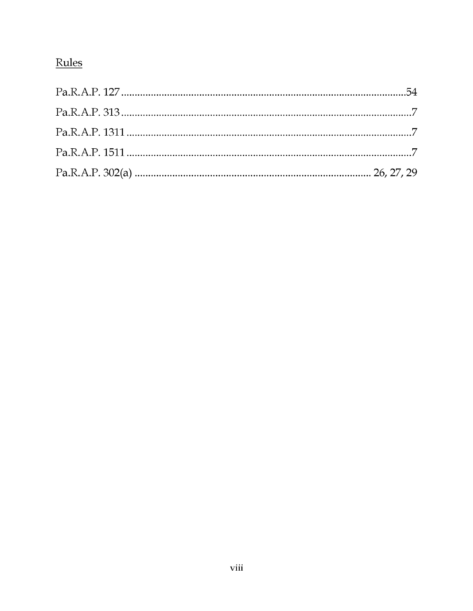# Rules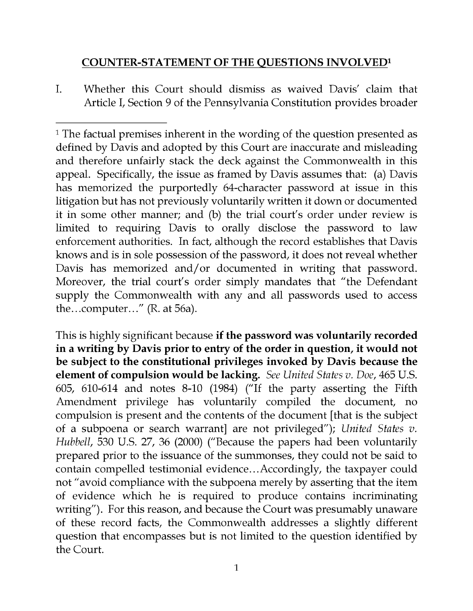## COUNTER -STATEMENT OF THE QUESTIONS INVOLVED1

I. Whether this Court should dismiss as waived Davis' claim that Article I, Section 9 of the Pennsylvania Constitution provides broader

This is highly significant because if the password was voluntarily recorded in a writing by Davis prior to entry of the order in question, it would not be subject to the constitutional privileges invoked by Davis because the element of compulsion would be lacking. See United States v. Doe, 465 U.S. 605, 610-614 and notes 8-10 (1984) ("If the party asserting the Fifth Amendment privilege has voluntarily compiled the document, no compulsion is present and the contents of the document [that is the subject of a subpoena or search warrant] are not privileged"); United States v. Hubbell, 530 U.S. 27, 36 (2000) ("Because the papers had been voluntarily prepared prior to the issuance of the summonses, they could not be said to contain compelled testimonial evidence...Accordingly, the taxpayer could not "avoid compliance with the subpoena merely by asserting that the item of evidence which he is required to produce contains incriminating writing"). For this reason, and because the Court was presumably unaware of these record facts, the Commonwealth addresses a slightly different question that encompasses but is not limited to the question identified by the Court.

<sup>&</sup>lt;sup>1</sup> The factual premises inherent in the wording of the question presented as defined by Davis and adopted by this Court are inaccurate and misleading and therefore unfairly stack the deck against the Commonwealth in this appeal. Specifically, the issue as framed by Davis assumes that: (a) Davis has memorized the purportedly 64-character password at issue in this litigation but has not previously voluntarily written it down or documented it in some other manner; and (b) the trial court's order under review is limited to requiring Davis to orally disclose the password to law enforcement authorities. In fact, although the record establishes that Davis knows and is in sole possession of the password, it does not reveal whether Davis has memorized and/or documented in writing that password. Moreover, the trial court's order simply mandates that "the Defendant supply the Commonwealth with any and all passwords used to access the...computer..." (R. at 56a).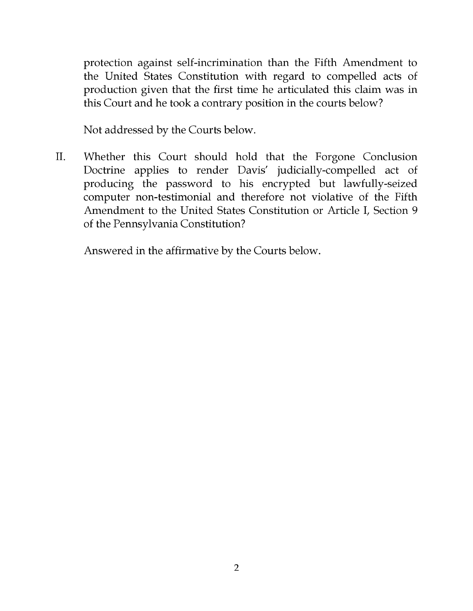protection against self-incrimination than the Fifth Amendment to the United States Constitution with regard to compelled acts of production given that the first time he articulated this claim was in this Court and he took a contrary position in the courts below?

Not addressed by the Courts below.

II. Whether this Court should hold that the Forgone Conclusion Doctrine applies to render Davis' judicially -compelled act of producing the password to his encrypted but lawfully-seized computer non -testimonial and therefore not violative of the Fifth Amendment to the United States Constitution or Article I, Section 9 of the Pennsylvania Constitution?

Answered in the affirmative by the Courts below.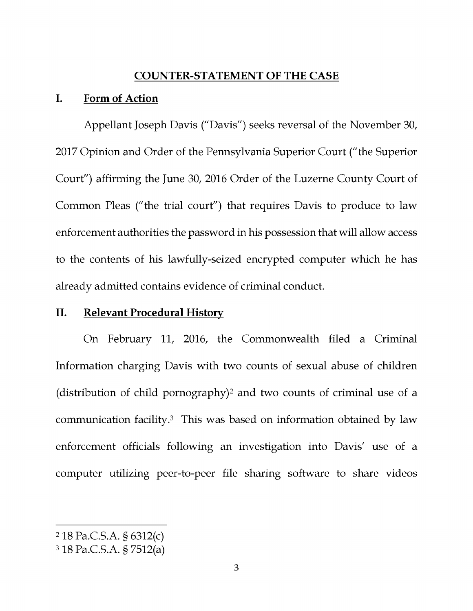#### COUNTER -STATEMENT OF THE CASE

#### I. Form of Action

Appellant Joseph Davis ("Davis") seeks reversal of the November 30, 2017 Opinion and Order of the Pennsylvania Superior Court ("the Superior Court") affirming the June 30, 2016 Order of the Luzerne County Court of Common Pleas ("the trial court") that requires Davis to produce to law enforcement authorities the password in his possession that will allow access to the contents of his lawfully -seized encrypted computer which he has already admitted contains evidence of criminal conduct.

#### II. Relevant Procedural History

On February 11, 2016, the Commonwealth filed a Criminal Information charging Davis with two counts of sexual abuse of children (distribution of child pornography)2 and two counts of criminal use of a communication facility.3 This was based on information obtained by law enforcement officials following an investigation into Davis' use of a computer utilizing peer -to -peer file sharing software to share videos

<sup>2</sup>18 Pa.C.S.A. § 6312(c)

<sup>318</sup> Pa.C.S.A. § 7512(a)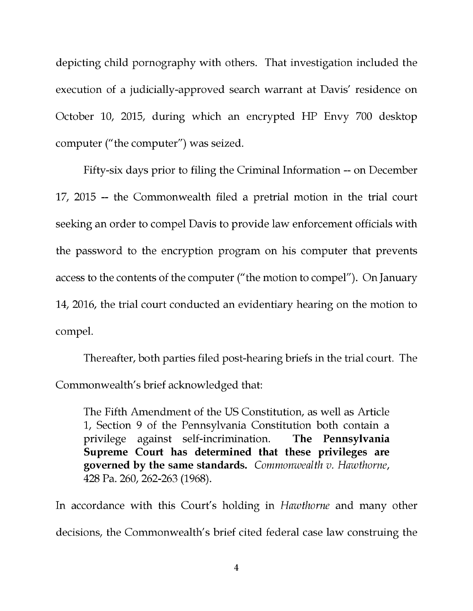depicting child pornography with others. That investigation included the execution of a judicially -approved search warrant at Davis' residence on October 10, 2015, during which an encrypted HP Envy 700 desktop computer ("the computer") was seized.

Fifty-six days prior to filing the Criminal Information -- on December 17, 2015 -- the Commonwealth filed a pretrial motion in the trial court seeking an order to compel Davis to provide law enforcement officials with the password to the encryption program on his computer that prevents access to the contents of the computer ("the motion to compel"). On January 14, 2016, the trial court conducted an evidentiary hearing on the motion to compel.

Thereafter, both parties filed post -hearing briefs in the trial court. The Commonwealth's brief acknowledged that:

The Fifth Amendment of the US Constitution, as well as Article 1, Section 9 of the Pennsylvania Constitution both contain a privilege against self-incrimination. The Pennsylvania Supreme Court has determined that these privileges are governed by the same standards. Commonwealth v. Hawthorne, 428 Pa. 260, 262-263 (1968).

In accordance with this Court's holding in Hawthorne and many other decisions, the Commonwealth's brief cited federal case law construing the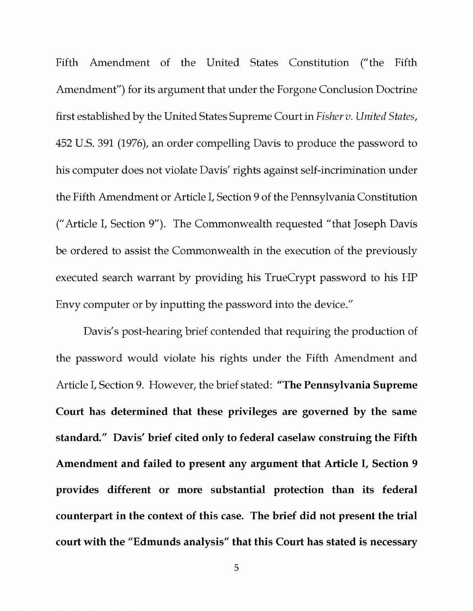Fifth Amendment of the United States Constitution ("the Fifth Amendment") for its argument that under the Forgone Conclusion Doctrine first established by the United States Supreme Court in Fisher v. United States, 452 U.S. 391 (1976), an order compelling Davis to produce the password to his computer does not violate Davis' rights against self-incrimination under the Fifth Amendment or Article I, Section 9 of the Pennsylvania Constitution ("Article I, Section 9"). The Commonwealth requested "that Joseph Davis be ordered to assist the Commonwealth in the execution of the previously executed search warrant by providing his TrueCrypt password to his HP Envy computer or by inputting the password into the device."

Davis's post-hearing brief contended that requiring the production of the password would violate his rights under the Fifth Amendment and Article I, Section 9. However, the brief stated: "The Pennsylvania Supreme Court has determined that these privileges are governed by the same standard." Davis' brief cited only to federal caselaw construing the Fifth Amendment and failed to present any argument that Article I, Section 9 provides different or more substantial protection than its federal counterpart in the context of this case. The brief did not present the trial court with the "Edmunds analysis" that this Court has stated is necessary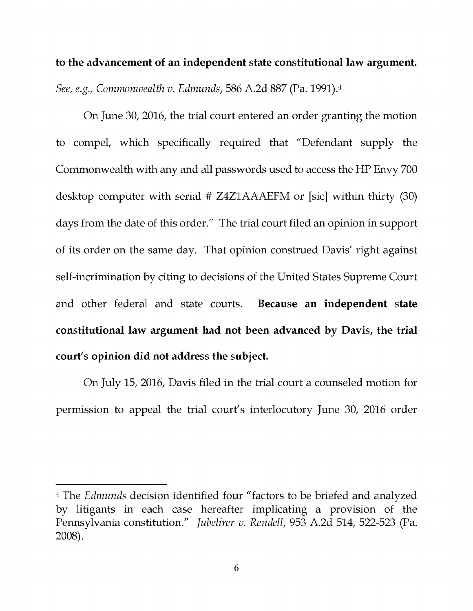to the advancement of an independent state constitutional law argument. See, e.g., Commonwealth v. Edmunds, 586 A.2d 887 (Pa. 1991).4

On June 30, 2016, the trial court entered an order granting the motion to compel, which specifically required that "Defendant supply the Commonwealth with any and all passwords used to access the HP Envy 700 desktop computer with serial # Z4Z1AAAEFM or [sic] within thirty (30) days from the date of this order." The trial court filed an opinion in support of its order on the same day. That opinion construed Davis' right against self-incrimination by citing to decisions of the United States Supreme Court and other federal and state courts. Because an independent state constitutional law argument had not been advanced by Davis, the trial court's opinion did not address the subject.

On July 15, 2016, Davis filed in the trial court a counseled motion for permission to appeal the trial court's interlocutory June 30, 2016 order

<sup>&</sup>lt;sup>4</sup> The *Edmunds* decision identified four "factors to be briefed and analyzed by litigants in each case hereafter implicating a provision of the Pennsylvania constitution." Jubelirer v. Rendell, 953 A.2d 514, 522-523 (Pa. 2008).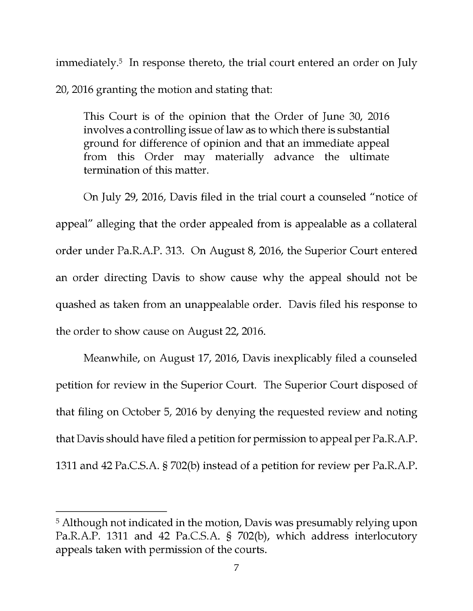immediately.<sup>5</sup> In response thereto, the trial court entered an order on July 20, 2016 granting the motion and stating that:

This Court is of the opinion that the Order of June 30, 2016 involves a controlling issue of law as to which there is substantial ground for difference of opinion and that an immediate appeal from this Order may materially advance the ultimate termination of this matter.

On July 29, 2016, Davis filed in the trial court a counseled "notice of appeal" alleging that the order appealed from is appealable as a collateral order under Pa.R.A.P. 313. On August 8, 2016, the Superior Court entered an order directing Davis to show cause why the appeal should not be quashed as taken from an unappealable order. Davis filed his response to the order to show cause on August 22, 2016.

Meanwhile, on August 17, 2016, Davis inexplicably filed a counseled petition for review in the Superior Court. The Superior Court disposed of that filing on October 5, 2016 by denying the requested review and noting that Davis should have filed a petition for permission to appeal per Pa.R.A.P. 1311 and 42 Pa.C.S.A. § 702(b) instead of a petition for review per Pa.R.A.P.

<sup>&</sup>lt;sup>5</sup> Although not indicated in the motion, Davis was presumably relying upon Pa.R.A.P. 1311 and 42 Pa.C.S.A. § 702(b), which address interlocutory appeals taken with permission of the courts.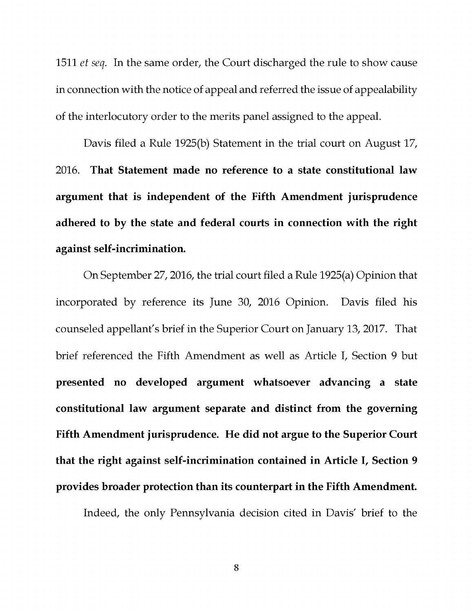1511 *et seq.* In the same order, the Court discharged the rule to show cause in connection with the notice of appeal and referred the issue of appealability of the interlocutory order to the merits panel assigned to the appeal.

Davis filed a Rule 1925(b) Statement in the trial court on August 17, 2016. That Statement made no reference to a state constitutional law argument that is independent of the Fifth Amendment jurisprudence adhered to by the state and federal courts in connection with the right against self-incrimination.

On September 27, 2016, the trial court filed a Rule 1925(a) Opinion that incorporated by reference its June 30, 2016 Opinion. Davis filed his counseled appellant's brief in the Superior Court on January 13, 2017. That brief referenced the Fifth Amendment as well as Article I, Section 9 but presented no developed argument whatsoever advancing a state constitutional law argument separate and distinct from the governing Fifth Amendment jurisprudence. He did not argue to the Superior Court that the right against self-incrimination contained in Article I, Section 9 provides broader protection than its counterpart in the Fifth Amendment.

Indeed, the only Pennsylvania decision cited in Davis' brief to the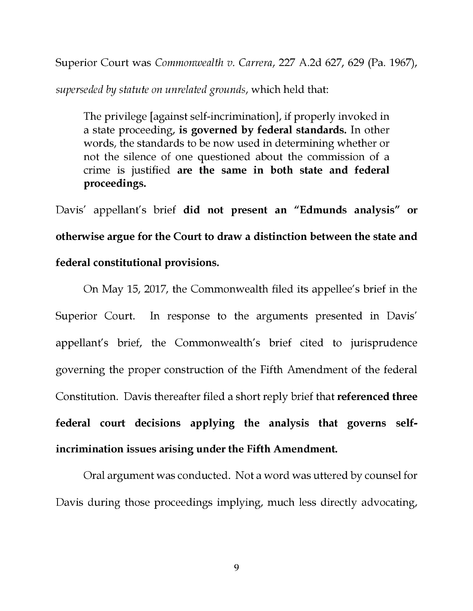Superior Court was Commonwealth v. Carrera, 227 A.2d 627, 629 (Pa. 1967),

superseded by statute on unrelated grounds, which held that:

The privilege [against self-incrimination], if properly invoked in a state proceeding, is governed by federal standards. In other words, the standards to be now used in determining whether or not the silence of one questioned about the commission of a crime is justified are the same in both state and federal proceedings.

Davis' appellant's brief did not present an "Edmunds analysis" or otherwise argue for the Court to draw a distinction between the state and federal constitutional provisions.

On May 15, 2017, the Commonwealth filed its appellee's brief in the Superior Court. In response to the arguments presented in Davis' appellant's brief, the Commonwealth's brief cited to jurisprudence governing the proper construction of the Fifth Amendment of the federal Constitution. Davis thereafter filed a short reply brief that referenced three federal court decisions applying the analysis that governs selfincrimination issues arising under the Fifth Amendment.

Oral argument was conducted. Not a word was uttered by counsel for Davis during those proceedings implying, much less directly advocating,

9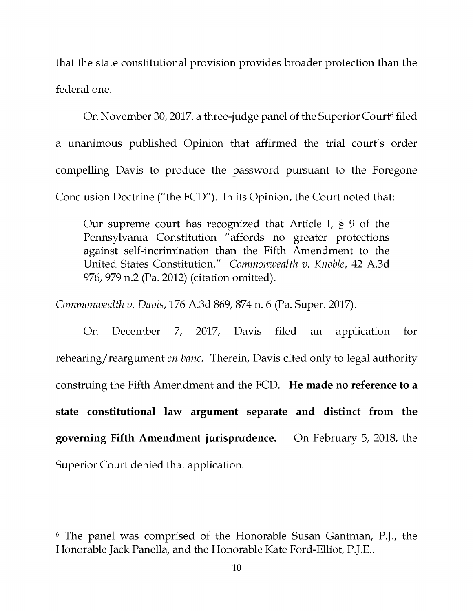that the state constitutional provision provides broader protection than the federal one.

On November 30, 2017, a three-judge panel of the Superior Court<sup>6</sup> filed a unanimous published Opinion that affirmed the trial court's order compelling Davis to produce the password pursuant to the Foregone Conclusion Doctrine ("the FCD"). In its Opinion, the Court noted that:

Our supreme court has recognized that Article I, § 9 of the Pennsylvania Constitution "affords no greater protections against self-incrimination than the Fifth Amendment to the United States Constitution." Commonwealth v. Knoble, 42 A.3d 976, 979 n.2 (Pa. 2012) (citation omitted).

Commonwealth v. Davis, 176 A.3d 869, 874 n. 6 (Pa. Super. 2017).

On December 7, 2017, Davis filed an application for rehearing/reargument en banc. Therein, Davis cited only to legal authority construing the Fifth Amendment and the FCD. He made no reference to a state constitutional law argument separate and distinct from the governing Fifth Amendment jurisprudence. On February 5, 2018, the Superior Court denied that application.

<sup>6</sup>The panel was comprised of the Honorable Susan Gantman, P.J., the Honorable Jack Panella, and the Honorable Kate Ford -Elliot, P.J.E..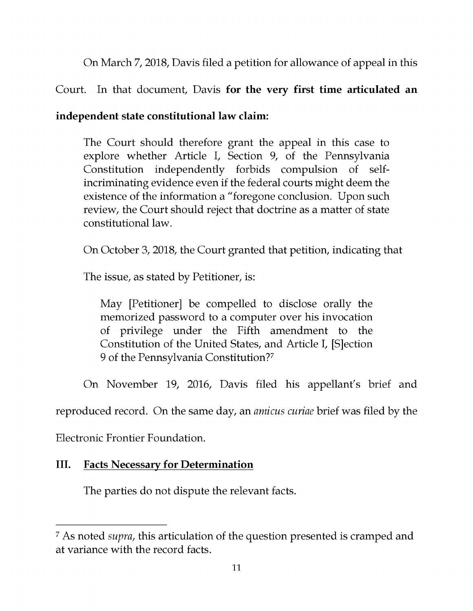On March 7, 2018, Davis filed a petition for allowance of appeal in this

## Court. In that document, Davis for the very first time articulated an

## independent state constitutional law claim:

The Court should therefore grant the appeal in this case to explore whether Article I, Section 9, of the Pennsylvania Constitution independently forbids compulsion of selfincriminating evidence even if the federal courts might deem the existence of the information a "foregone conclusion. Upon such review, the Court should reject that doctrine as a matter of state constitutional law.

On October 3, 2018, the Court granted that petition, indicating that

The issue, as stated by Petitioner, is:

May [Petitioner] be compelled to disclose orally the memorized password to a computer over his invocation of privilege under the Fifth amendment to the Constitution of the United States, and Article I, [S]ection 9 of the Pennsylvania Constitution?7

On November 19, 2016, Davis filed his appellant's brief and

reproduced record. On the same day, an amicus curiae brief was filed by the

Electronic Frontier Foundation.

## III. Facts Necessary for Determination

The parties do not dispute the relevant facts.

<sup>7</sup>As noted supra, this articulation of the question presented is cramped and at variance with the record facts.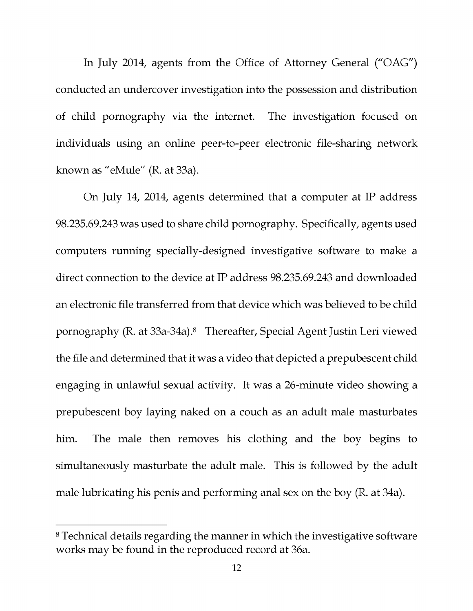In July 2014, agents from the Office of Attorney General ("OAG") conducted an undercover investigation into the possession and distribution of child pornography via the internet. The investigation focused on individuals using an online peer -to -peer electronic file -sharing network known as "eMule" (R. at 33a).

On July 14, 2014, agents determined that a computer at IP address 98.235.69.243 was used to share child pornography. Specifically, agents used computers running specially -designed investigative software to make a direct connection to the device at IP address 98.235.69.243 and downloaded an electronic file transferred from that device which was believed to be child pornography (R. at 33a-34a).<sup>8</sup> Thereafter, Special Agent Justin Leri viewed the file and determined that it was a video that depicted a prepubescent child engaging in unlawful sexual activity. It was a 26 -minute video showing a prepubescent boy laying naked on a couch as an adult male masturbates him. The male then removes his clothing and the boy begins to simultaneously masturbate the adult male. This is followed by the adult male lubricating his penis and performing anal sex on the boy (R. at 34a).

<sup>8</sup>Technical details regarding the manner in which the investigative software works may be found in the reproduced record at 36a.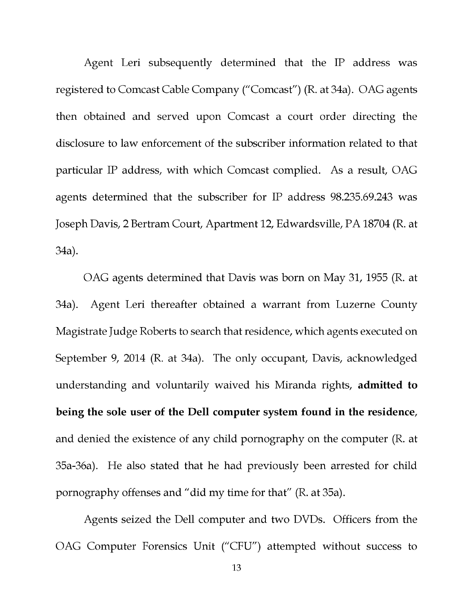Agent Leri subsequently determined that the IP address was registered to Comcast Cable Company ("Comcast") (R. at 34a). OAG agents then obtained and served upon Comcast a court order directing the disclosure to law enforcement of the subscriber information related to that particular IP address, with which Comcast complied. As a result, OAG agents determined that the subscriber for IP address 98.235.69.243 was Joseph Davis, 2 Bertram Court, Apartment 12, Edwardsville, PA 18704 (R. at 34a).

OAG agents determined that Davis was born on May 31, 1955 (R. at 34a). Agent Leri thereafter obtained a warrant from Luzerne County Magistrate Judge Roberts to search that residence, which agents executed on September 9, 2014 (R. at 34a). The only occupant, Davis, acknowledged understanding and voluntarily waived his Miranda rights, admitted to being the sole user of the Dell computer system found in the residence, and denied the existence of any child pornography on the computer (R. at 35a -36a). He also stated that he had previously been arrested for child pornography offenses and "did my time for that" (R. at 35a).

Agents seized the Dell computer and two DVDs. Officers from the OAG Computer Forensics Unit ("CFU") attempted without success to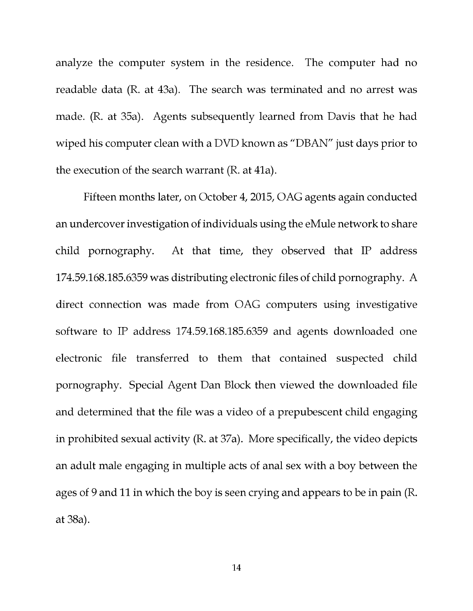analyze the computer system in the residence. The computer had no readable data (R. at 43a). The search was terminated and no arrest was made. (R. at 35a). Agents subsequently learned from Davis that he had wiped his computer clean with a DVD known as "DBAN" just days prior to the execution of the search warrant (R. at 41a).

Fifteen months later, on October 4, 2015, OAG agents again conducted an undercover investigation of individuals using the eMule network to share child pornography. At that time, they observed that IP address 174.59.168.185.6359 was distributing electronic files of child pornography. A direct connection was made from OAG computers using investigative software to IP address 174.59.168.185.6359 and agents downloaded one electronic file transferred to them that contained suspected child pornography. Special Agent Dan Block then viewed the downloaded file and determined that the file was a video of a prepubescent child engaging in prohibited sexual activity (R. at 37a). More specifically, the video depicts an adult male engaging in multiple acts of anal sex with a boy between the ages of 9 and 11 in which the boy is seen crying and appears to be in pain (R. at 38a).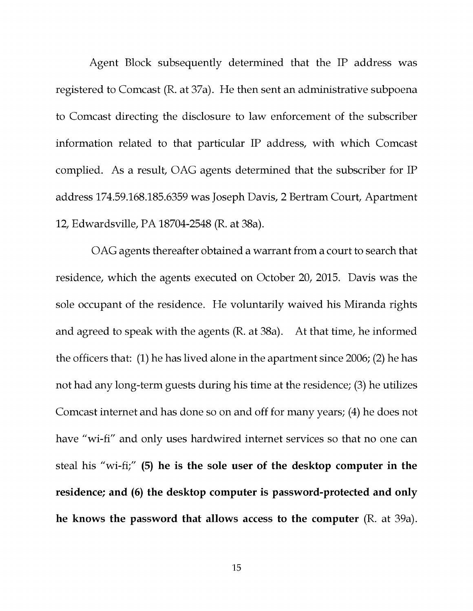Agent Block subsequently determined that the IP address was registered to Comcast (R. at 37a). He then sent an administrative subpoena to Comcast directing the disclosure to law enforcement of the subscriber information related to that particular IP address, with which Comcast complied. As a result, OAG agents determined that the subscriber for IP address 174.59.168.185.6359 was Joseph Davis, 2 Bertram Court, Apartment 12, Edwardsville, PA 18704-2548 (R. at 38a).

OAG agents thereafter obtained a warrant from a court to search that residence, which the agents executed on October 20, 2015. Davis was the sole occupant of the residence. He voluntarily waived his Miranda rights and agreed to speak with the agents (R. at 38a). At that time, he informed the officers that: (1) he has lived alone in the apartment since 2006; (2) he has not had any long-term guests during his time at the residence; (3) he utilizes Comcast internet and has done so on and off for many years; (4) he does not have "wi-fi" and only uses hardwired internet services so that no one can steal his "wi-fi;" (5) he is the sole user of the desktop computer in the residence; and (6) the desktop computer is password-protected and only he knows the password that allows access to the computer (R. at 39a).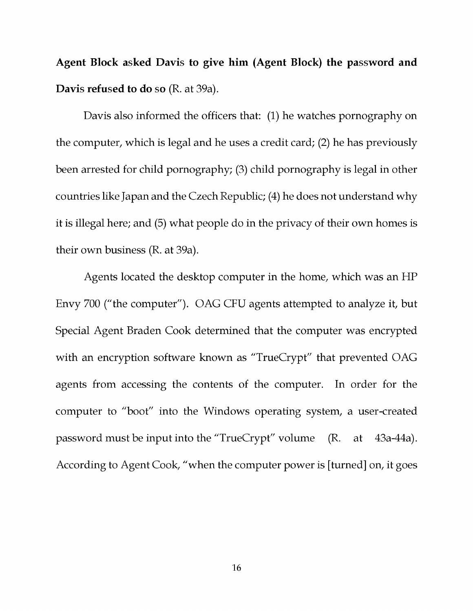Agent Block asked Davis to give him (Agent Block) the password and Davis refused to do so (R. at 39a).

Davis also informed the officers that: (1) he watches pornography on the computer, which is legal and he uses a credit card; (2) he has previously been arrested for child pornography; (3) child pornography is legal in other countries like Japan and the Czech Republic; (4) he does not understand why it is illegal here; and (5) what people do in the privacy of their own homes is their own business (R. at 39a).

Agents located the desktop computer in the home, which was an HP Envy 700 ("the computer"). OAG CFU agents attempted to analyze it, but Special Agent Braden Cook determined that the computer was encrypted with an encryption software known as "TrueCrypt" that prevented OAG agents from accessing the contents of the computer. In order for the computer to "boot" into the Windows operating system, a user -created password must be input into the "TrueCrypt" volume (R. at 43a-44a). According to Agent Cook, "when the computer power is [turned] on, it goes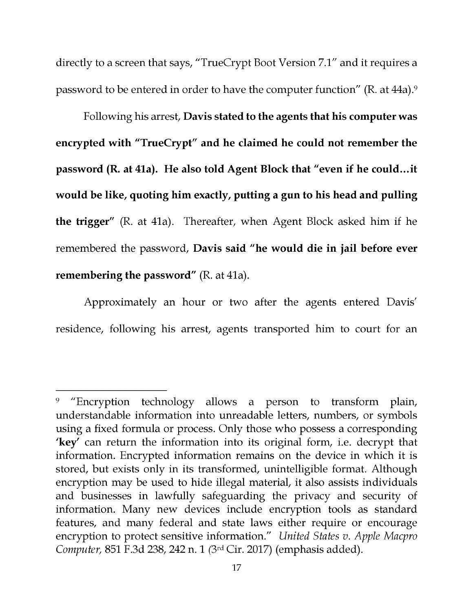directly to a screen that says, "TrueCrypt Boot Version 7.1" and it requires a password to be entered in order to have the computer function" (R. at 44a).9

Following his arrest, Davis stated to the agents that his computer was encrypted with "TrueCrypt" and he claimed he could not remember the password (R. at 41a). He also told Agent Block that "even if he could...it would be like, quoting him exactly, putting a gun to his head and pulling the trigger" (R. at 41a). Thereafter, when Agent Block asked him if he remembered the password, Davis said "he would die in jail before ever remembering the password" (R. at 41a).

Approximately an hour or two after the agents entered Davis' residence, following his arrest, agents transported him to court for an

<sup>&</sup>lt;sup>9</sup> "Encryption technology allows a person to transform plain, understandable information into unreadable letters, numbers, or symbols using a fixed formula or process. Only those who possess a corresponding 'key' can return the information into its original form, i.e. decrypt that information. Encrypted information remains on the device in which it is stored, but exists only in its transformed, unintelligible format. Although encryption may be used to hide illegal material, it also assists individuals and businesses in lawfully safeguarding the privacy and security of information. Many new devices include encryption tools as standard features, and many federal and state laws either require or encourage encryption to protect sensitive information." United States v. Apple Macpro Computer, 851 F.3d 238, 242 n. 1 (3rd Cir. 2017) (emphasis added).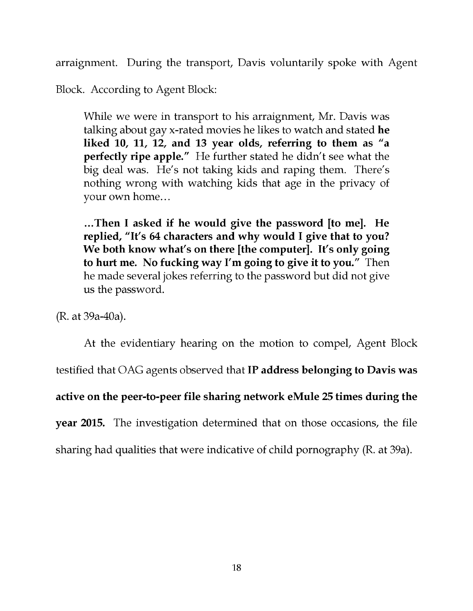arraignment. During the transport, Davis voluntarily spoke with Agent

Block. According to Agent Block:

While we were in transport to his arraignment, Mr. Davis was talking about gay x-rated movies he likes to watch and stated he liked 10, 11, 12, and 13 year olds, referring to them as "a perfectly ripe apple." He further stated he didn't see what the big deal was. He's not taking kids and raping them. There's nothing wrong with watching kids that age in the privacy of your own home...

...Then I asked if he would give the password [to me]. He replied, "It's 64 characters and why would I give that to you? We both know what's on there [the computer]. It's only going to hurt me. No fucking way I'm going to give it to you." Then he made several jokes referring to the password but did not give us the password.

(R. at 39a -40a).

At the evidentiary hearing on the motion to compel, Agent Block testified that OAG agents observed that IP address belonging to Davis was active on the peer -to -peer file sharing network eMule 25 times during the year 2015. The investigation determined that on those occasions, the file sharing had qualities that were indicative of child pornography (R. at 39a).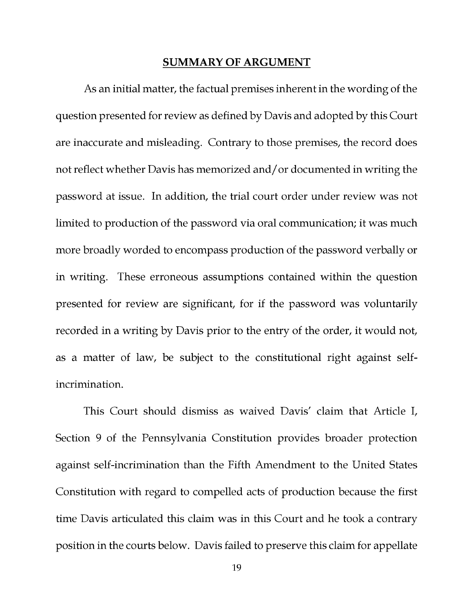#### SUMMARY OF ARGUMENT

As an initial matter, the factual premises inherent in the wording of the question presented for review as defined by Davis and adopted by this Court are inaccurate and misleading. Contrary to those premises, the record does not reflect whether Davis has memorized and/or documented in writing the password at issue. In addition, the trial court order under review was not limited to production of the password via oral communication; it was much more broadly worded to encompass production of the password verbally or in writing. These erroneous assumptions contained within the question presented for review are significant, for if the password was voluntarily recorded in a writing by Davis prior to the entry of the order, it would not, as a matter of law, be subject to the constitutional right against selfincrimination.

This Court should dismiss as waived Davis' claim that Article I, Section 9 of the Pennsylvania Constitution provides broader protection against self-incrimination than the Fifth Amendment to the United States Constitution with regard to compelled acts of production because the first time Davis articulated this claim was in this Court and he took a contrary position in the courts below. Davis failed to preserve this claim for appellate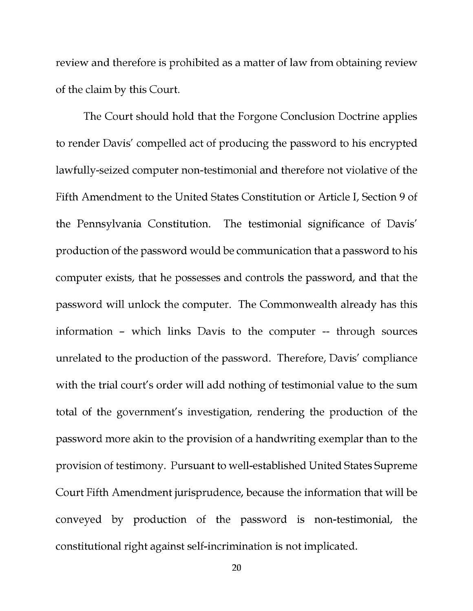review and therefore is prohibited as a matter of law from obtaining review of the claim by this Court.

The Court should hold that the Forgone Conclusion Doctrine applies to render Davis' compelled act of producing the password to his encrypted lawfully -seized computer non -testimonial and therefore not violative of the Fifth Amendment to the United States Constitution or Article I, Section 9 of the Pennsylvania Constitution. The testimonial significance of Davis' production of the password would be communication that a password to his computer exists, that he possesses and controls the password, and that the password will unlock the computer. The Commonwealth already has this information - which links Davis to the computer -- through sources unrelated to the production of the password. Therefore, Davis' compliance with the trial court's order will add nothing of testimonial value to the sum total of the government's investigation, rendering the production of the password more akin to the provision of a handwriting exemplar than to the provision of testimony. Pursuant to well -established United States Supreme Court Fifth Amendment jurisprudence, because the information that will be conveyed by production of the password is non -testimonial, the constitutional right against self-incrimination is not implicated.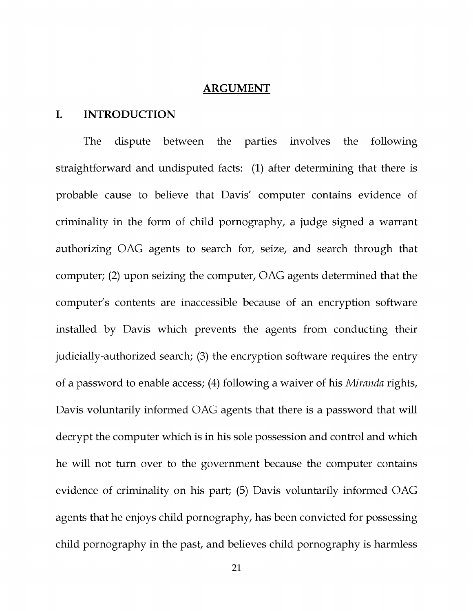#### ARGUMENT

#### I. INTRODUCTION

The dispute between the parties involves the following straightforward and undisputed facts: (1) after determining that there is probable cause to believe that Davis' computer contains evidence of criminality in the form of child pornography, a judge signed a warrant authorizing OAG agents to search for, seize, and search through that computer; (2) upon seizing the computer, OAG agents determined that the computer's contents are inaccessible because of an encryption software installed by Davis which prevents the agents from conducting their judicially -authorized search; (3) the encryption software requires the entry of a password to enable access; (4) following a waiver of his Miranda rights, Davis voluntarily informed OAG agents that there is a password that will decrypt the computer which is in his sole possession and control and which he will not turn over to the government because the computer contains evidence of criminality on his part; (5) Davis voluntarily informed OAG agents that he enjoys child pornography, has been convicted for possessing child pornography in the past, and believes child pornography is harmless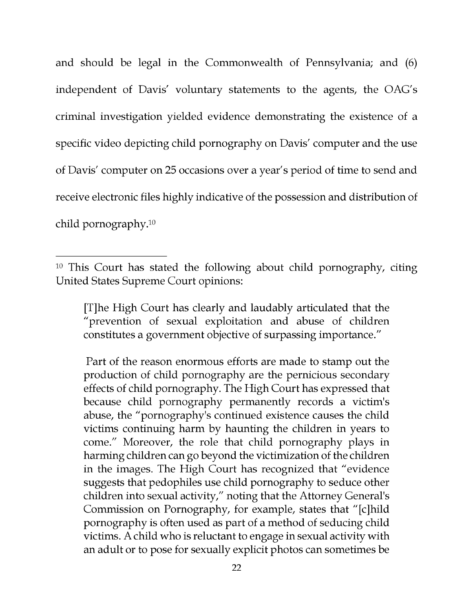and should be legal in the Commonwealth of Pennsylvania; and (6) independent of Davis' voluntary statements to the agents, the OAG's criminal investigation yielded evidence demonstrating the existence of a specific video depicting child pornography on Davis' computer and the use of Davis' computer on 25 occasions over a year's period of time to send and receive electronic files highly indicative of the possession and distribution of child pornography.10

[T]he High Court has clearly and laudably articulated that the "prevention of sexual exploitation and abuse of children constitutes a government objective of surpassing importance."

Part of the reason enormous efforts are made to stamp out the production of child pornography are the pernicious secondary effects of child pornography. The High Court has expressed that because child pornography permanently records a victim's abuse, the "pornography's continued existence causes the child victims continuing harm by haunting the children in years to come." Moreover, the role that child pornography plays in harming children can go beyond the victimization of the children in the images. The High Court has recognized that "evidence suggests that pedophiles use child pornography to seduce other children into sexual activity," noting that the Attorney General's Commission on Pornography, for example, states that "[c]hild pornography is often used as part of a method of seducing child victims. A child who is reluctant to engage in sexual activity with an adult or to pose for sexually explicit photos can sometimes be

<sup>&</sup>lt;sup>10</sup> This Court has stated the following about child pornography, citing United States Supreme Court opinions: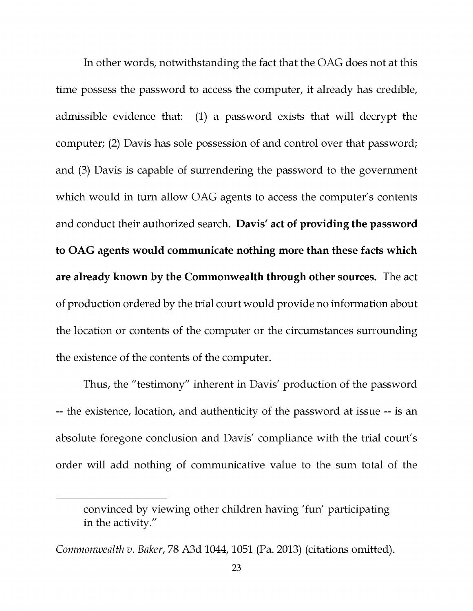In other words, notwithstanding the fact that the OAG does not at this time possess the password to access the computer, it already has credible, admissible evidence that: (1) a password exists that will decrypt the computer; (2) Davis has sole possession of and control over that password; and (3) Davis is capable of surrendering the password to the government which would in turn allow OAG agents to access the computer's contents and conduct their authorized search. Davis' act of providing the password to OAG agents would communicate nothing more than these facts which are already known by the Commonwealth through other sources. The act of production ordered by the trial court would provide no information about the location or contents of the computer or the circumstances surrounding the existence of the contents of the computer.

Thus, the "testimony" inherent in Davis' production of the password -- the existence, location, and authenticity of the password at issue -- is an absolute foregone conclusion and Davis' compliance with the trial court's order will add nothing of communicative value to the sum total of the

convinced by viewing other children having 'fun' participating in the activity."

Commonwealth v. Baker, 78 A3d 1044, 1051 (Pa. 2013) (citations omitted).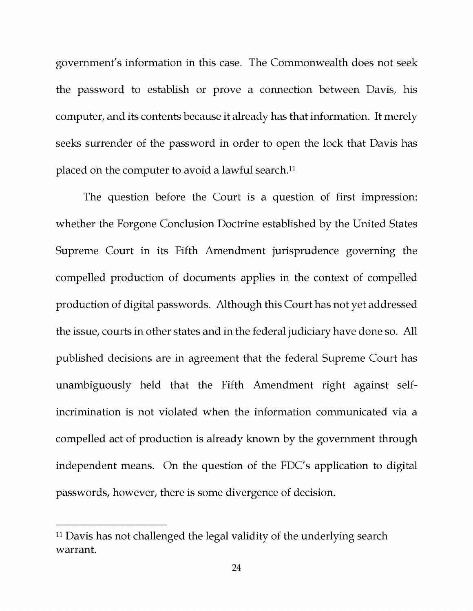government's information in this case. The Commonwealth does not seek the password to establish or prove a connection between Davis, his computer, and its contents because it already has that information. It merely seeks surrender of the password in order to open the lock that Davis has placed on the computer to avoid a lawful search.<sup>11</sup>

The question before the Court is a question of first impression: whether the Forgone Conclusion Doctrine established by the United States Supreme Court in its Fifth Amendment jurisprudence governing the compelled production of documents applies in the context of compelled production of digital passwords. Although this Court has not yet addressed the issue, courts in other states and in the federal judiciary have done so. All published decisions are in agreement that the federal Supreme Court has unambiguously held that the Fifth Amendment right against selfincrimination is not violated when the information communicated via a compelled act of production is already known by the government through independent means. On the question of the FDC's application to digital passwords, however, there is some divergence of decision.

<sup>&</sup>lt;sup>11</sup> Davis has not challenged the legal validity of the underlying search warrant.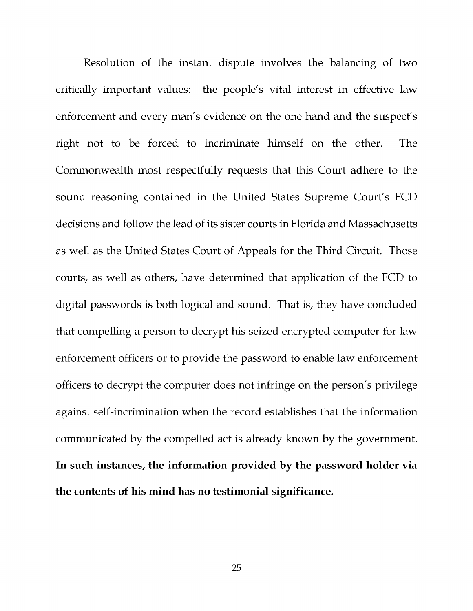Resolution of the instant dispute involves the balancing of two critically important values: the people's vital interest in effective law enforcement and every man's evidence on the one hand and the suspect's right not to be forced to incriminate himself on the other. The Commonwealth most respectfully requests that this Court adhere to the sound reasoning contained in the United States Supreme Court's FCD decisions and follow the lead of its sister courts in Florida and Massachusetts as well as the United States Court of Appeals for the Third Circuit. Those courts, as well as others, have determined that application of the FCD to digital passwords is both logical and sound. That is, they have concluded that compelling a person to decrypt his seized encrypted computer for law enforcement officers or to provide the password to enable law enforcement officers to decrypt the computer does not infringe on the person's privilege against self-incrimination when the record establishes that the information communicated by the compelled act is already known by the government. In such instances, the information provided by the password holder via the contents of his mind has no testimonial significance.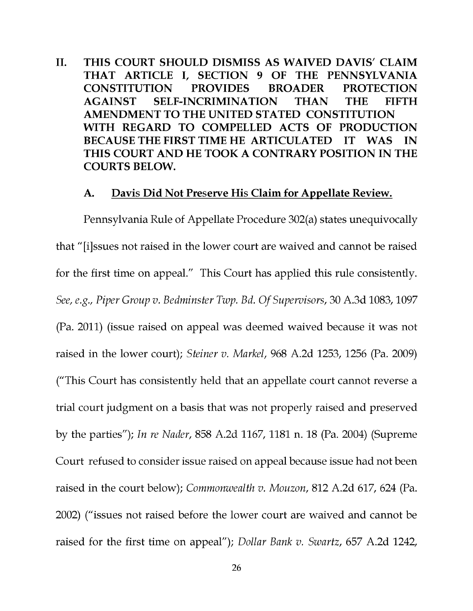II. THIS COURT SHOULD DISMISS AS WAIVED DAVIS' CLAIM THAT ARTICLE I, SECTION 9 OF THE PENNSYLVANIA CONSTITUTION PROVIDES BROADER PROTECTION AGAINST SELF-INCRIMINATION THAN THE FIFTH AMENDMENT TO THE UNITED STATED CONSTITUTION WITH REGARD TO COMPELLED ACTS OF PRODUCTION BECAUSE THE FIRST TIME HE ARTICULATED IT WAS IN THIS COURT AND HE TOOK A CONTRARY POSITION IN THE COURTS BELOW.

#### A. Davis Did Not Preserve His Claim for Appellate Review.

Pennsylvania Rule of Appellate Procedure 302(a) states unequivocally that "[i]ssues not raised in the lower court are waived and cannot be raised for the first time on appeal." This Court has applied this rule consistently. See, e.g., Piper Group v. Bedminster Twp. Bd. Of Supervisors, 30 A.3d 1083, 1097 (Pa. 2011) (issue raised on appeal was deemed waived because it was not raised in the lower court); Steiner v. Markel, 968 A.2d 1253, 1256 (Pa. 2009) ("This Court has consistently held that an appellate court cannot reverse a trial court judgment on a basis that was not properly raised and preserved by the parties"); In re Nader, 858 A.2d 1167, 1181 n. 18 (Pa. 2004) (Supreme Court refused to consider issue raised on appeal because issue had not been raised in the court below); Commonwealth v. Mouzon, 812 A.2d 617, 624 (Pa. 2002) ("issues not raised before the lower court are waived and cannot be raised for the first time on appeal"); Dollar Bank v. Swartz, 657 A.2d 1242,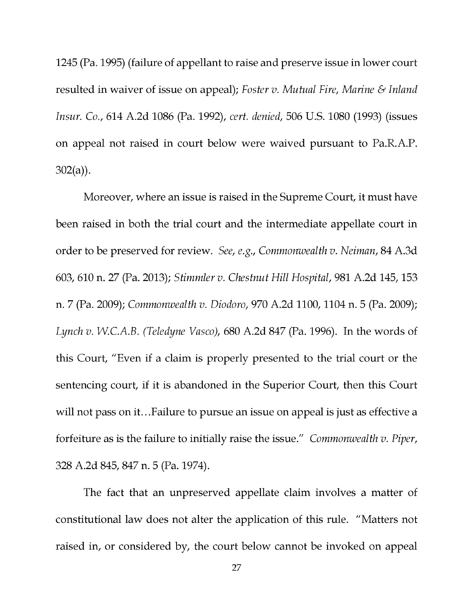1245 (Pa. 1995) (failure of appellant to raise and preserve issue in lower court resulted in waiver of issue on appeal); Foster v. Mutual Fire, Marine & Inland Insur. Co., 614 A.2d 1086 (Pa. 1992), cert. denied, 506 U.S. 1080 (1993) (issues on appeal not raised in court below were waived pursuant to Pa.R.A.P. 302(a)).

Moreover, where an issue is raised in the Supreme Court, it must have been raised in both the trial court and the intermediate appellate court in order to be preserved for review. See, e.g., Commonwealth v. Neiman, 84 A.3d 603, 610 n. 27 (Pa. 2013); Stimmler v. Chestnut Hill Hospital, 981 A.2d 145, 153 n. 7 (Pa. 2009); Commonwealth v. Diodoro, 970 A.2d 1100, 1104 n. 5 (Pa. 2009); Lynch v. W.C.A.B. (Teledyne Vasco),  $680$  A.2d  $847$  (Pa. 1996). In the words of this Court, "Even if a claim is properly presented to the trial court or the sentencing court, if it is abandoned in the Superior Court, then this Court will not pass on it...Failure to pursue an issue on appeal is just as effective a forfeiture as is the failure to initially raise the issue." Commonwealth v. Piper, 328 A.2d 845, 847 n. 5 (Pa. 1974).

The fact that an unpreserved appellate claim involves a matter of constitutional law does not alter the application of this rule. "Matters not raised in, or considered by, the court below cannot be invoked on appeal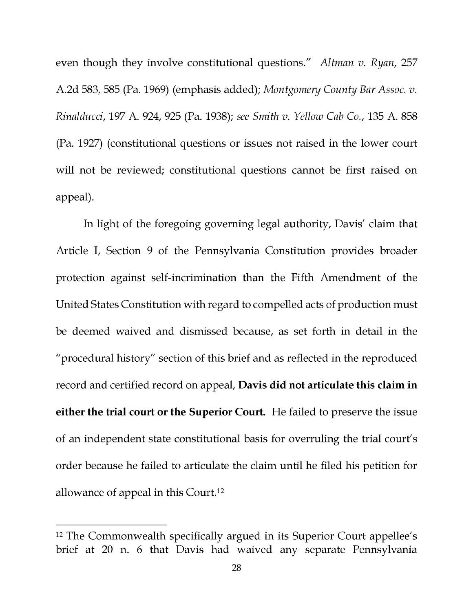even though they involve constitutional questions." Altman v. Ryan, 257 A.2d 583, 585 (Pa. 1969) (emphasis added); Montgomery County Bar Assoc. v. Rinalducci, 197 A. 924, 925 (Pa. 1938); see Smith v. Yellow Cab Co., 135 A. 858 (Pa. 1927) (constitutional questions or issues not raised in the lower court will not be reviewed; constitutional questions cannot be first raised on appeal).

In light of the foregoing governing legal authority, Davis' claim that Article I, Section 9 of the Pennsylvania Constitution provides broader protection against self-incrimination than the Fifth Amendment of the United States Constitution with regard to compelled acts of production must be deemed waived and dismissed because, as set forth in detail in the "procedural history" section of this brief and as reflected in the reproduced record and certified record on appeal, Davis did not articulate this claim in either the trial court or the Superior Court. He failed to preserve the issue of an independent state constitutional basis for overruling the trial court's order because he failed to articulate the claim until he filed his petition for allowance of appeal in this Court.12

<sup>&</sup>lt;sup>12</sup> The Commonwealth specifically argued in its Superior Court appellee's brief at 20 n. 6 that Davis had waived any separate Pennsylvania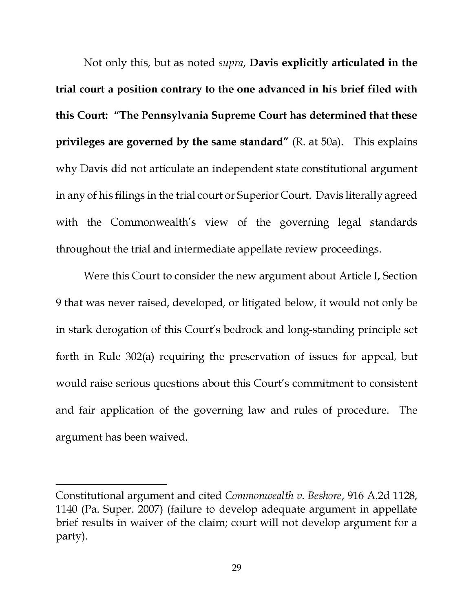Not only this, but as noted supra, Davis explicitly articulated in the trial court a position contrary to the one advanced in his brief filed with this Court: "The Pennsylvania Supreme Court has determined that these privileges are governed by the same standard" (R. at 50a). This explains why Davis did not articulate an independent state constitutional argument in any of his filings in the trial court or Superior Court. Davis literally agreed with the Commonwealth's view of the governing legal standards throughout the trial and intermediate appellate review proceedings.

Were this Court to consider the new argument about Article I, Section 9 that was never raised, developed, or litigated below, it would not only be in stark derogation of this Court's bedrock and long-standing principle set forth in Rule 302(a) requiring the preservation of issues for appeal, but would raise serious questions about this Court's commitment to consistent and fair application of the governing law and rules of procedure. The argument has been waived.

Constitutional argument and cited Commonwealth v. Beshore, 916 A.2d 1128, 1140 (Pa. Super. 2007) (failure to develop adequate argument in appellate brief results in waiver of the claim; court will not develop argument for a party).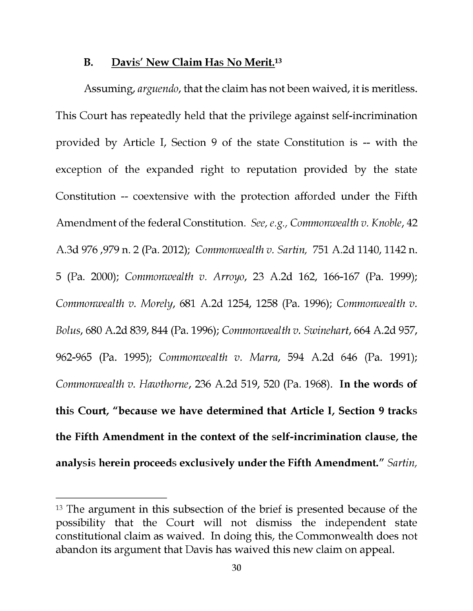#### B. Davis' New Claim Has No Merit.13

Assuming, arguendo, that the claim has not been waived, it is meritless. This Court has repeatedly held that the privilege against self-incrimination provided by Article I, Section 9 of the state Constitution is -- with the exception of the expanded right to reputation provided by the state Constitution -- coextensive with the protection afforded under the Fifth Amendment of the federal Constitution. See, e.g., Commonwealth v. Knoble, 42 A.3d 976 ,979 n. 2 (Pa. 2012); Commonwealth v. Sartin, 751 A.2d 1140, 1142 n. 5 (Pa. 2000); Commonwealth v. Arroyo, 23 A.2d 162, 166-167 (Pa. 1999); Commonwealth v. Morely, 681 A.2d 1254, 1258 (Pa. 1996); Commonwealth v. Bolus, 680 A.2d 839, 844 (Pa. 1996); Commonwealth v. Swinehart, 664 A.2d 957, 962-965 (Pa. 1995); Commonwealth v. Marra, 594 A.2d 646 (Pa. 1991); Commonwealth v. Hawthorne, 236 A.2d 519, 520 (Pa. 1968). In the words of this Court, "because we have determined that Article I, Section 9 tracks the Fifth Amendment in the context of the self-incrimination clause, the analysis herein proceeds exclusively under the Fifth Amendment." Sartin,

<sup>&</sup>lt;sup>13</sup> The argument in this subsection of the brief is presented because of the possibility that the Court will not dismiss the independent state constitutional claim as waived. In doing this, the Commonwealth does not abandon its argument that Davis has waived this new claim on appeal.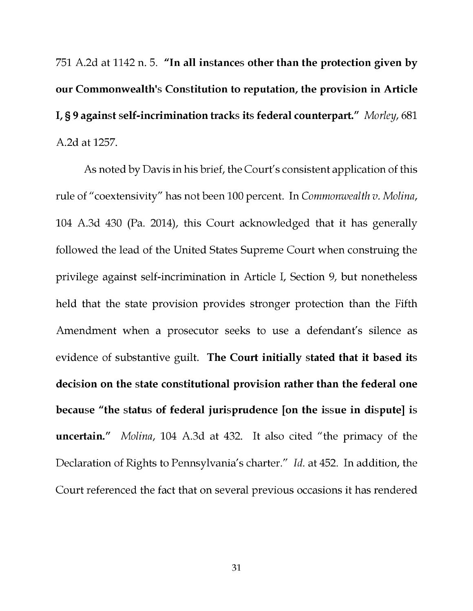751 A.2d at 1142 n. 5. "In all instances other than the protection given by our Commonwealth's Constitution to reputation, the provision in Article I, § 9 against self-incrimination tracks its federal counterpart." Morley, 681 A.2d at 1257.

As noted by Davis in his brief, the Court's consistent application of this rule of "coextensivity" has not been 100 percent. In Commonwealth v. Molina, 104 A.3d 430 (Pa. 2014), this Court acknowledged that it has generally followed the lead of the United States Supreme Court when construing the privilege against self-incrimination in Article I, Section 9, but nonetheless held that the state provision provides stronger protection than the Fifth Amendment when a prosecutor seeks to use a defendant's silence as evidence of substantive guilt. The Court initially stated that it based its decision on the state constitutional provision rather than the federal one because "the status of federal jurisprudence [on the issue in dispute] is uncertain." Molina, 104 A.3d at 432. It also cited "the primacy of the Declaration of Rights to Pennsylvania's charter." Id. at 452. In addition, the Court referenced the fact that on several previous occasions it has rendered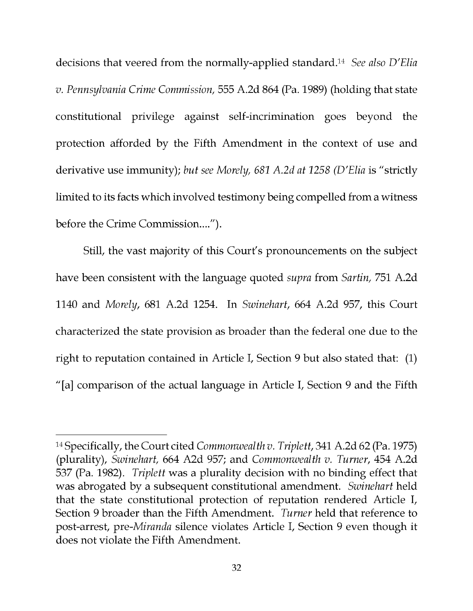decisions that veered from the normally-applied standard.<sup>14</sup> See also D'Elia v. Pennsylvania Crime Commission, 555 A.2d 864 (Pa. 1989) (holding that state constitutional privilege against self-incrimination goes beyond the protection afforded by the Fifth Amendment in the context of use and derivative use immunity); but see Morely, 681 A.2d at 1258 (D'Elia is "strictly limited to its facts which involved testimony being compelled from a witness before the Crime Commission....").

Still, the vast majority of this Court's pronouncements on the subject have been consistent with the language quoted supra from Sartin, 751 A.2d 1140 and Morely, 681 A.2d 1254. In Swinehart, 664 A.2d 957, this Court characterized the state provision as broader than the federal one due to the right to reputation contained in Article I, Section 9 but also stated that: (1) "[a] comparison of the actual language in Article I, Section 9 and the Fifth

<sup>14</sup>Specifically, the Court cited Commonwealth v. Triplett, 341 A.2d 62 (Pa. 1975) (plurality), Swinehart, 664 A2d 957; and Commonwealth v. Turner, 454 A.2d 537 (Pa. 1982). Triplett was a plurality decision with no binding effect that was abrogated by a subsequent constitutional amendment. Swinehart held that the state constitutional protection of reputation rendered Article I, Section 9 broader than the Fifth Amendment. Turner held that reference to post -arrest, pre -Miranda silence violates Article I, Section 9 even though it does not violate the Fifth Amendment.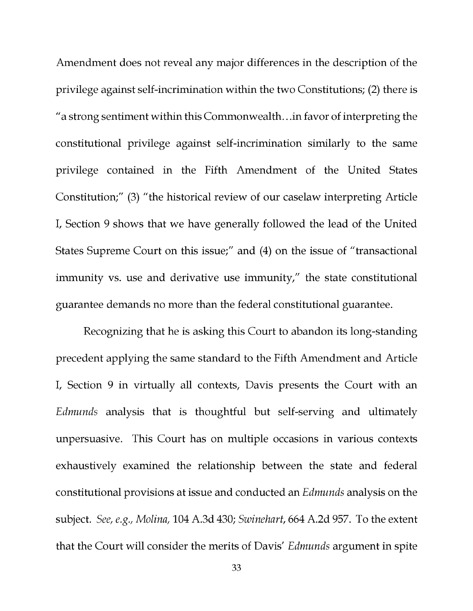Amendment does not reveal any major differences in the description of the privilege against self-incrimination within the two Constitutions; (2) there is "a strong sentiment within this Commonwealth...in favor of interpreting the constitutional privilege against self-incrimination similarly to the same privilege contained in the Fifth Amendment of the United States Constitution;" (3) "the historical review of our caselaw interpreting Article I, Section 9 shows that we have generally followed the lead of the United States Supreme Court on this issue;" and (4) on the issue of "transactional immunity vs. use and derivative use immunity," the state constitutional guarantee demands no more than the federal constitutional guarantee.

Recognizing that he is asking this Court to abandon its long-standing precedent applying the same standard to the Fifth Amendment and Article I, Section 9 in virtually all contexts, Davis presents the Court with an Edmunds analysis that is thoughtful but self-serving and ultimately unpersuasive. This Court has on multiple occasions in various contexts exhaustively examined the relationship between the state and federal constitutional provisions at issue and conducted an Edmunds analysis on the subject. See, e.g., Molina, 104 A.3d 430; Swinehart, 664 A.2d 957. To the extent that the Court will consider the merits of Davis' Edmunds argument in spite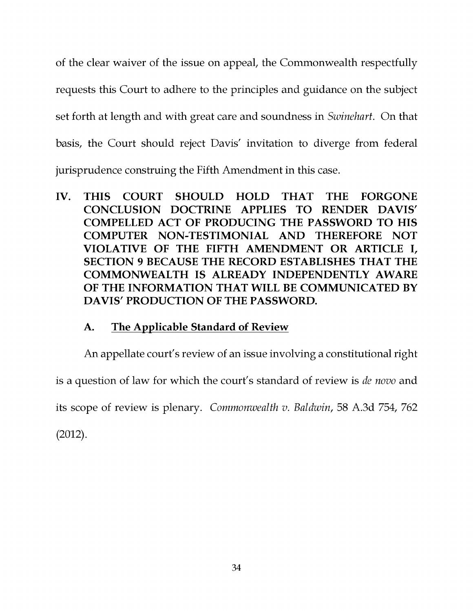of the clear waiver of the issue on appeal, the Commonwealth respectfully requests this Court to adhere to the principles and guidance on the subject set forth at length and with great care and soundness in Swinehart. On that basis, the Court should reject Davis' invitation to diverge from federal jurisprudence construing the Fifth Amendment in this case.

IV. THIS COURT SHOULD HOLD THAT THE FORGONE CONCLUSION DOCTRINE APPLIES TO RENDER DAVIS' COMPELLED ACT OF PRODUCING THE PASSWORD TO HIS COMPUTER NON-TESTIMONIAL AND THEREFORE NOT VIOLATIVE OF THE FIFTH AMENDMENT OR ARTICLE I, SECTION 9 BECAUSE THE RECORD ESTABLISHES THAT THE COMMONWEALTH IS ALREADY INDEPENDENTLY AWARE OF THE INFORMATION THAT WILL BE COMMUNICATED BY DAVIS' PRODUCTION OF THE PASSWORD.

## A. The Applicable Standard of Review

An appellate court's review of an issue involving a constitutional right is a question of law for which the court's standard of review is de novo and its scope of review is plenary. Commonwealth v. Baldwin, 58 A.3d 754, 762 (2012).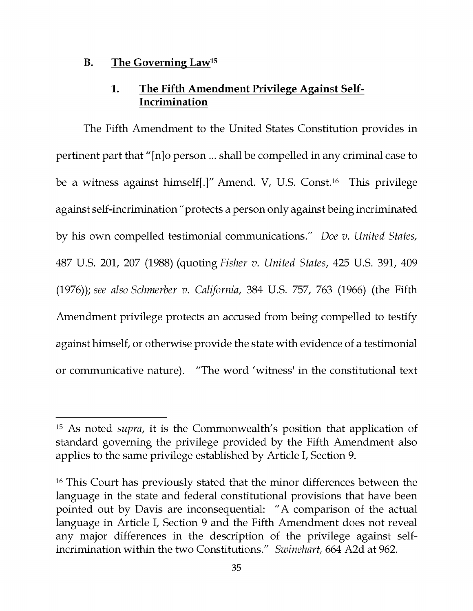#### B. The Governing Law15

## 1. The Fifth Amendment Privilege Against Self-Incrimination

The Fifth Amendment to the United States Constitution provides in pertinent part that "[n]o person ... shall be compelled in any criminal case to be a witness against himself[.]" Amend. V, U.S. Const.16 This privilege against self-incrimination "protects a person only against being incriminated by his own compelled testimonial communications." Doe v. United States, 487 U.S. 201, 207 (1988) (quoting Fisher v. United States, 425 U.S. 391, 409 (1976)); see also Schmerber v. California, 384 U.S. 757, 763 (1966) (the Fifth Amendment privilege protects an accused from being compelled to testify against himself, or otherwise provide the state with evidence of a testimonial or communicative nature). "The word 'witness' in the constitutional text

<sup>&</sup>lt;sup>15</sup> As noted *supra*, it is the Commonwealth's position that application of standard governing the privilege provided by the Fifth Amendment also applies to the same privilege established by Article I, Section 9.

<sup>&</sup>lt;sup>16</sup> This Court has previously stated that the minor differences between the language in the state and federal constitutional provisions that have been pointed out by Davis are inconsequential: "A comparison of the actual language in Article I, Section 9 and the Fifth Amendment does not reveal any major differences in the description of the privilege against selfincrimination within the two Constitutions." Swinehart, 664 A2d at 962.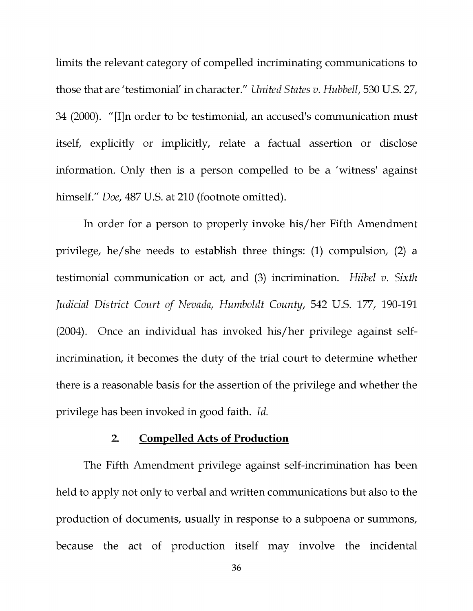limits the relevant category of compelled incriminating communications to those that are 'testimonial' in character." United States v. Hubbell, 530 U.S. 27, 34 (2000). "[I]n order to be testimonial, an accused's communication must itself, explicitly or implicitly, relate a factual assertion or disclose information. Only then is a person compelled to be a 'witness' against himself." Doe, 487 U.S. at 210 (footnote omitted).

In order for a person to properly invoke his/her Fifth Amendment privilege, he/she needs to establish three things: (1) compulsion, (2) a testimonial communication or act, and  $(3)$  incrimination. Hiibel v. Sixth Judicial District Court of Nevada, Humboldt County, 542 U.S. 177, 190-191 (2004). Once an individual has invoked his/her privilege against selfincrimination, it becomes the duty of the trial court to determine whether there is a reasonable basis for the assertion of the privilege and whether the privilege has been invoked in good faith. Id.

#### 2. Compelled Acts of Production

The Fifth Amendment privilege against self-incrimination has been held to apply not only to verbal and written communications but also to the production of documents, usually in response to a subpoena or summons, because the act of production itself may involve the incidental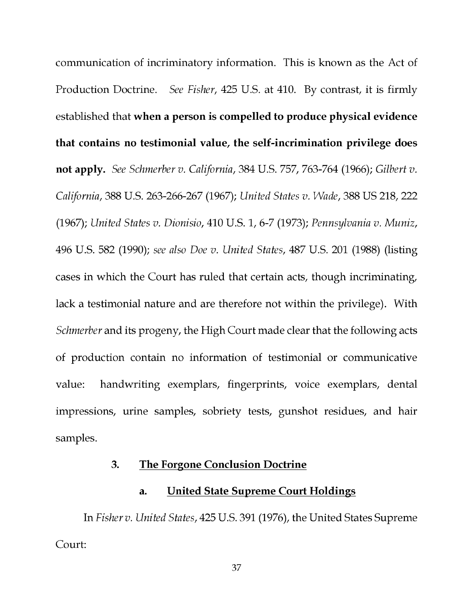communication of incriminatory information. This is known as the Act of Production Doctrine. See Fisher, 425 U.S. at 410. By contrast, it is firmly established that when a person is compelled to produce physical evidence that contains no testimonial value, the self-incrimination privilege does not apply. See Schmerber v. California, 384 U.S. 757, 763-764 (1966); Gilbert v. California, 388 U.S. 263-266-267 (1967); United States v. Wade, 388 US 218, 222 (1967); United States v. Dionisio, 410 U.S. 1, 6-7 (1973); Pennsylvania v. Muniz, 496 U.S. 582 (1990); see also Doe v. United States, 487 U.S. 201 (1988) (listing cases in which the Court has ruled that certain acts, though incriminating, lack a testimonial nature and are therefore not within the privilege). With Schmerber and its progeny, the High Court made clear that the following acts of production contain no information of testimonial or communicative value: handwriting exemplars, fingerprints, voice exemplars, dental impressions, urine samples, sobriety tests, gunshot residues, and hair samples.

### 3. The Forgone Conclusion Doctrine

#### a. United State Supreme Court Holdings

In Fisher v. United States, 425 U.S. 391 (1976), the United States Supreme Court: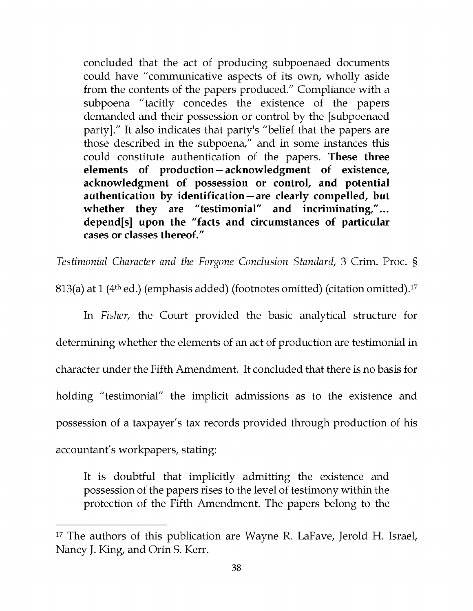concluded that the act of producing subpoenaed documents could have "communicative aspects of its own, wholly aside from the contents of the papers produced." Compliance with a subpoena "tacitly concedes the existence of the papers demanded and their possession or control by the [subpoenaed party]." It also indicates that party's "belief that the papers are those described in the subpoena," and in some instances this could constitute authentication of the papers. These three elements of production-acknowledgment of existence, acknowledgment of possession or control, and potential authentication by identification-are clearly compelled, but whether they are "testimonial" and incriminating,"... depend[s] upon the "facts and circumstances of particular cases or classes thereof."

Testimonial Character and the Forgone Conclusion Standard, 3 Crim. Proc. §

813(a) at 1 (4<sup>th</sup> ed.) (emphasis added) (footnotes omitted) (citation omitted).<sup>17</sup>

In Fisher, the Court provided the basic analytical structure for determining whether the elements of an act of production are testimonial in character under the Fifth Amendment. It concluded that there is no basis for holding "testimonial" the implicit admissions as to the existence and possession of a taxpayer's tax records provided through production of his accountant's workpapers, stating:

It is doubtful that implicitly admitting the existence and possession of the papers rises to the level of testimony within the protection of the Fifth Amendment. The papers belong to the

 $17$  The authors of this publication are Wayne R. LaFave, Jerold H. Israel, Nancy J. King, and Orin S. Kerr.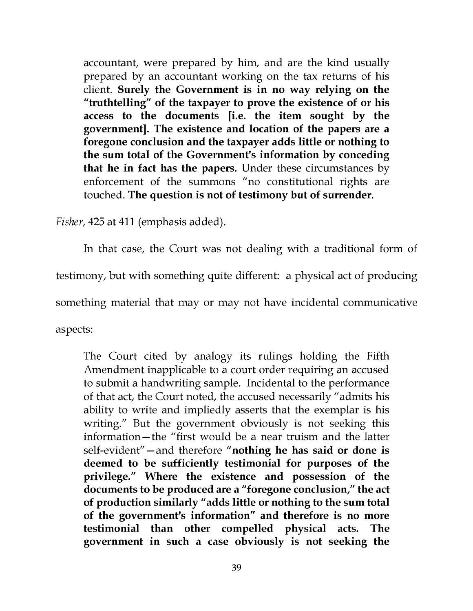accountant, were prepared by him, and are the kind usually prepared by an accountant working on the tax returns of his client. Surely the Government is in no way relying on the "truthtelling" of the taxpayer to prove the existence of or his access to the documents [i.e. the item sought by the government]. The existence and location of the papers are a foregone conclusion and the taxpayer adds little or nothing to the sum total of the Government's information by conceding that he in fact has the papers. Under these circumstances by enforcement of the summons "no constitutional rights are touched. The question is not of testimony but of surrender.

Fisher, 425 at 411 (emphasis added).

In that case, the Court was not dealing with a traditional form of testimony, but with something quite different: a physical act of producing something material that may or may not have incidental communicative aspects:

The Court cited by analogy its rulings holding the Fifth Amendment inapplicable to a court order requiring an accused to submit a handwriting sample. Incidental to the performance of that act, the Court noted, the accused necessarily "admits his ability to write and impliedly asserts that the exemplar is his writing." But the government obviously is not seeking this information-the "first would be a near truism and the latter self-evident" - and therefore "nothing he has said or done is deemed to be sufficiently testimonial for purposes of the privilege." Where the existence and possession of the documents to be produced are a "foregone conclusion," the act of production similarly "adds little or nothing to the sum total of the government's information" and therefore is no more testimonial than other compelled physical acts. The government in such a case obviously is not seeking the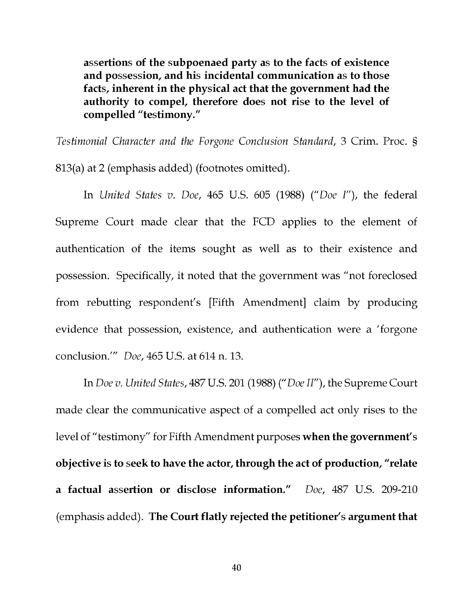assertions of the subpoenaed party as to the facts of existence and possession, and his incidental communication as to those facts, inherent in the physical act that the government had the authority to compel, therefore does not rise to the level of compelled "testimony."

Testimonial Character and the Forgone Conclusion Standard, 3 Crim. Proc. §

813(a) at 2 (emphasis added) (footnotes omitted).

In United States v. Doe, 465 U.S. 605 (1988) ("Doe I"), the federal Supreme Court made clear that the FCD applies to the element of authentication of the items sought as well as to their existence and possession. Specifically, it noted that the government was "not foreclosed from rebutting respondent's [Fifth Amendment] claim by producing evidence that possession, existence, and authentication were a 'forgone conclusion.'" Doe, 465 U.S. at 614 n. 13.

In Doe v. United States, 487 U.S. 201 (1988) ("Doe II"), the Supreme Court made clear the communicative aspect of a compelled act only rises to the level of "testimony" for Fifth Amendment purposes when the government's objective is to seek to have the actor, through the act of production, "relate a factual assertion or disclose information." Doe, 487 U.S. 209-210 (emphasis added). The Court flatly rejected the petitioner's argument that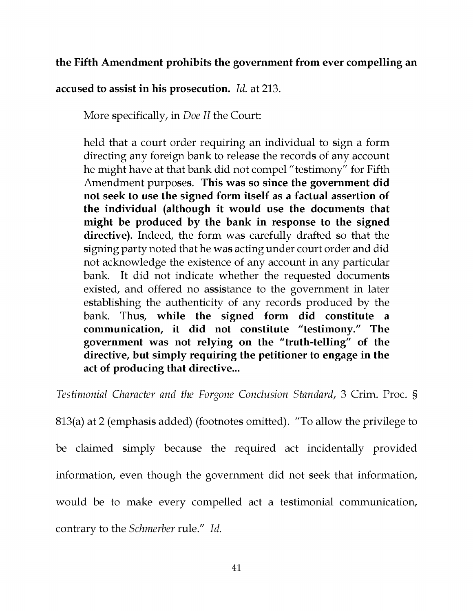### the Fifth Amendment prohibits the government from ever compelling an

accused to assist in his prosecution. Id. at 213.

More specifically, in Doe II the Court:

held that a court order requiring an individual to sign a form directing any foreign bank to release the records of any account he might have at that bank did not compel "testimony" for Fifth Amendment purposes. This was so since the government did not seek to use the signed form itself as a factual assertion of the individual (although it would use the documents that might be produced by the bank in response to the signed directive). Indeed, the form was carefully drafted so that the signing party noted that he was acting under court order and did not acknowledge the existence of any account in any particular bank. It did not indicate whether the requested documents existed, and offered no assistance to the government in later establishing the authenticity of any records produced by the bank. Thus, while the signed form did constitute a communication, it did not constitute "testimony." The government was not relying on the "truth-telling" of the directive, but simply requiring the petitioner to engage in the act of producing that directive...

Testimonial Character and the Forgone Conclusion Standard, 3 Crim. Proc. §

813(a) at 2 (emphasis added) (footnotes omitted). "To allow the privilege to be claimed simply because the required act incidentally provided information, even though the government did not seek that information, would be to make every compelled act a testimonial communication, contrary to the Schmerber rule." Id.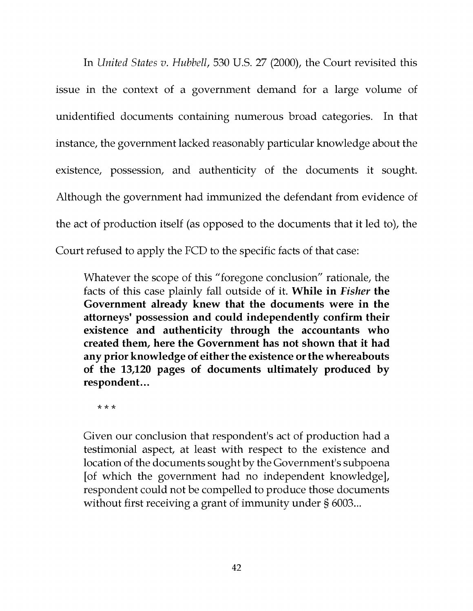In United States v. Hubbell, 530 U.S. 27 (2000), the Court revisited this issue in the context of a government demand for a large volume of unidentified documents containing numerous broad categories. In that instance, the government lacked reasonably particular knowledge about the existence, possession, and authenticity of the documents it sought. Although the government had immunized the defendant from evidence of the act of production itself (as opposed to the documents that it led to), the Court refused to apply the FCD to the specific facts of that case:

Whatever the scope of this "foregone conclusion" rationale, the facts of this case plainly fall outside of it. While in Fisher the Government already knew that the documents were in the attorneys' possession and could independently confirm their existence and authenticity through the accountants who created them, here the Government has not shown that it had any prior knowledge of either the existence or the whereabouts of the 13,120 pages of documents ultimately produced by respondent...

\* \* \*

Given our conclusion that respondent's act of production had a testimonial aspect, at least with respect to the existence and location of the documents sought by the Government's subpoena [of which the government had no independent knowledge], respondent could not be compelled to produce those documents without first receiving a grant of immunity under § 6003...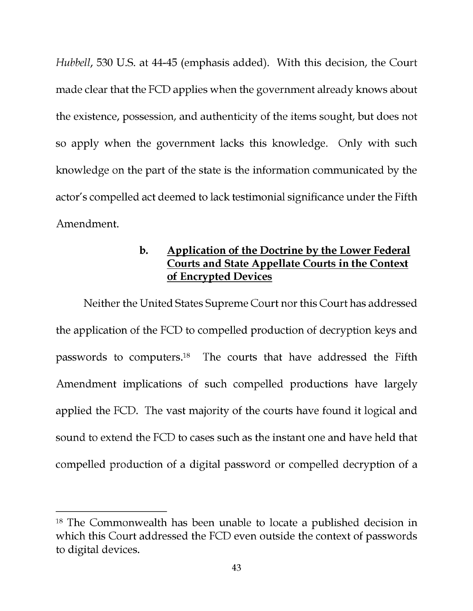Hubbell, 530 U.S. at 44-45 (emphasis added). With this decision, the Court made clear that the FCD applies when the government already knows about the existence, possession, and authenticity of the items sought, but does not so apply when the government lacks this knowledge. Only with such knowledge on the part of the state is the information communicated by the actor's compelled act deemed to lack testimonial significance under the Fifth Amendment.

## b. Application of the Doctrine by the Lower Federal Courts and State Appellate Courts in the Context of Encrypted Devices

Neither the United States Supreme Court nor this Court has addressed the application of the FCD to compelled production of decryption keys and passwords to computers.18 The courts that have addressed the Fifth Amendment implications of such compelled productions have largely applied the FCD. The vast majority of the courts have found it logical and sound to extend the FCD to cases such as the instant one and have held that compelled production of a digital password or compelled decryption of a

<sup>&</sup>lt;sup>18</sup> The Commonwealth has been unable to locate a published decision in which this Court addressed the FCD even outside the context of passwords to digital devices.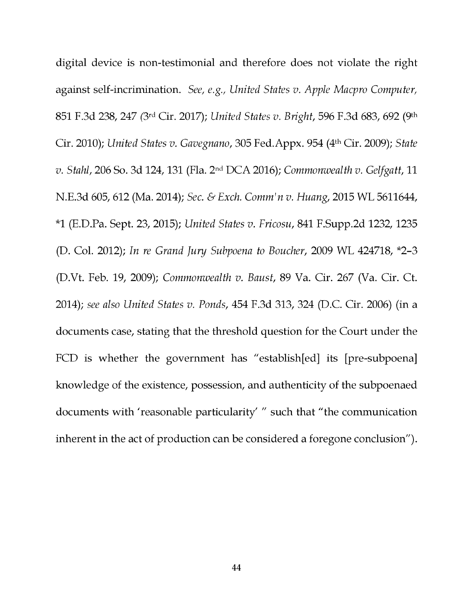digital device is non -testimonial and therefore does not violate the right against self-incrimination. See, e.g., United States v. Apple Macpro Computer, 851 F.3d 238, 247 (3rd Cir. 2017); United States v. Bright, 596 F.3d 683, 692 (9th Cir. 2010); United States v. Gavegnano, 305 Fed.Appx. 954 (4th Cir. 2009); State v. Stahl, 206 So. 3d 124, 131 (Fla. 2nd DCA 2016); Commonwealth v. Gelfgatt, 11 N.E.3d 605, 612 (Ma. 2014); Sec. & Exch. Comm' n v. Huang, 2015 WL 5611644, \*1 (E.D.Pa. Sept. 23, 2015); United States v. Fricosu, 841 F.Supp.2d 1232, 1235 (D. Col. 2012); In re Grand Jury Subpoena to Boucher, 2009 WL 424718, \*2-3 (D.Vt. Feb. 19, 2009); Commonwealth v. Baust, 89 Va. Cir. 267 (Va. Cir. Ct. 2014); see also United States v. Ponds, 454 F.3d 313, 324 (D.C. Cir. 2006) (in a documents case, stating that the threshold question for the Court under the FCD is whether the government has "establish[ed] its [pre-subpoena] knowledge of the existence, possession, and authenticity of the subpoenaed documents with 'reasonable particularity' " such that "the communication inherent in the act of production can be considered a foregone conclusion").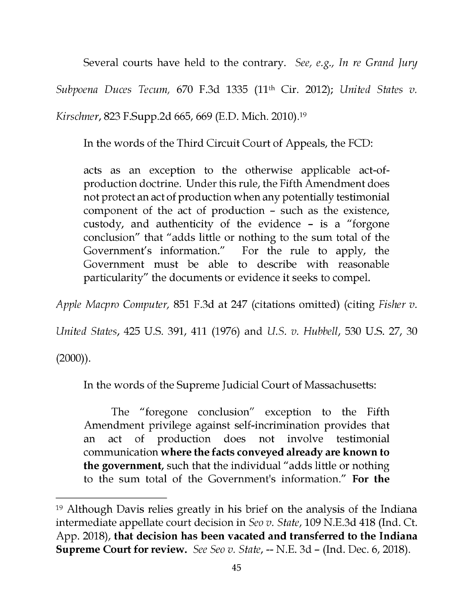Several courts have held to the contrary. See, e.g., In re Grand Jury Subpoena Duces Tecum, 670 F.3d 1335 (11<sup>th</sup> Cir. 2012); United States v. Kirschner, 823 F.Supp.2d 665, 669 (E.D. Mich. 2010).19

In the words of the Third Circuit Court of Appeals, the FCD:

acts as an exception to the otherwise applicable act-ofproduction doctrine. Under this rule, the Fifth Amendment does not protect an act of production when any potentially testimonial component of the act of production - such as the existence, custody, and authenticity of the evidence - is a "forgone conclusion" that "adds little or nothing to the sum total of the Government's information." For the rule to apply, the Government must be able to describe with reasonable particularity" the documents or evidence it seeks to compel.

Apple Macpro Computer, 851 F.3d at 247 (citations omitted) (citing Fisher v.

United States, 425 U.S. 391, 411 (1976) and U.S. v. Hubbell, 530 U.S. 27, 30

 $(2000)$ ).

In the words of the Supreme Judicial Court of Massachusetts:

The "foregone conclusion" exception to the Fifth Amendment privilege against self-incrimination provides that an act of production does not involve testimonial communication where the facts conveyed already are known to the government, such that the individual "adds little or nothing to the sum total of the Government's information." For the

<sup>19</sup>Although Davis relies greatly in his brief on the analysis of the Indiana intermediate appellate court decision in Seo v. State, 109 N.E.3d 418 (Ind. Ct. App. 2018), that decision has been vacated and transferred to the Indiana Supreme Court for review. See Seo v. State, -- N.E. 3d - (Ind. Dec. 6, 2018).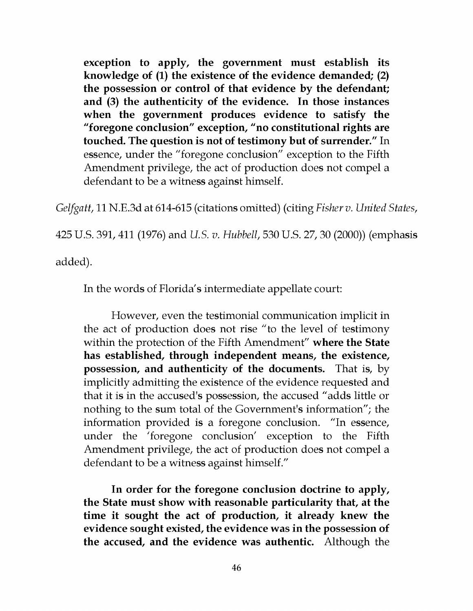exception to apply, the government must establish its knowledge of (1) the existence of the evidence demanded; (2) the possession or control of that evidence by the defendant; and (3) the authenticity of the evidence. In those instances when the government produces evidence to satisfy the "foregone conclusion" exception, "no constitutional rights are touched. The question is not of testimony but of surrender." In essence, under the "foregone conclusion" exception to the Fifth Amendment privilege, the act of production does not compel a defendant to be a witness against himself.

Gelfgatt, 11 N.E.3d at 614-615 (citations omitted) (citing Fisher v. United States,

425 U.S. 391, 411 (1976) and U.S. v. Hubbell, 530 U.S. 27, 30 (2000)) (emphasis

added).

In the words of Florida's intermediate appellate court:

However, even the testimonial communication implicit in the act of production does not rise "to the level of testimony within the protection of the Fifth Amendment" where the State has established, through independent means, the existence, possession, and authenticity of the documents. That is, by implicitly admitting the existence of the evidence requested and that it is in the accused's possession, the accused "adds little or nothing to the sum total of the Government's information"; the information provided is a foregone conclusion. "In essence, under the 'foregone conclusion' exception to the Fifth Amendment privilege, the act of production does not compel a defendant to be a witness against himself."

In order for the foregone conclusion doctrine to apply, the State must show with reasonable particularity that, at the time it sought the act of production, it already knew the evidence sought existed, the evidence was in the possession of the accused, and the evidence was authentic. Although the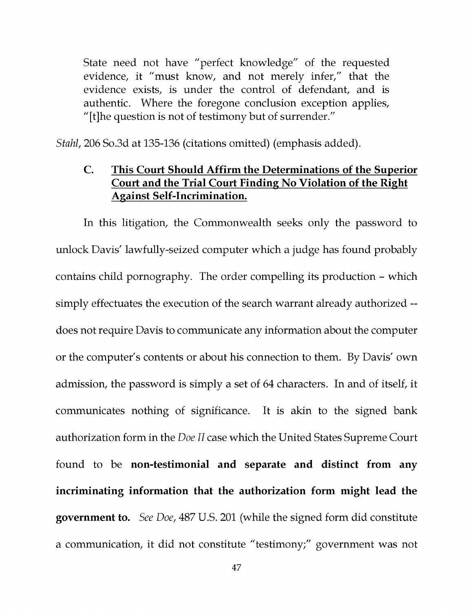State need not have "perfect knowledge" of the requested evidence, it "must know, and not merely infer," that the evidence exists, is under the control of defendant, and is authentic. Where the foregone conclusion exception applies, "[t]he question is not of testimony but of surrender."

Stahl, 206 So.3d at 135-136 (citations omitted) (emphasis added).

## C. This Court Should Affirm the Determinations of the Superior Court and the Trial Court Finding No Violation of the Right Against Self -Incrimination.

In this litigation, the Commonwealth seeks only the password to unlock Davis' lawfully -seized computer which a judge has found probably contains child pornography. The order compelling its production - which simply effectuates the execution of the search warrant already authorized - does not require Davis to communicate any information about the computer or the computer's contents or about his connection to them. By Davis' own admission, the password is simply a set of 64 characters. In and of itself, it communicates nothing of significance. It is akin to the signed bank authorization form in the Doe II case which the United States Supreme Court found to be non-testimonial and separate and distinct from any incriminating information that the authorization form might lead the government to. See Doe, 487 U.S. 201 (while the signed form did constitute a communication, it did not constitute "testimony;" government was not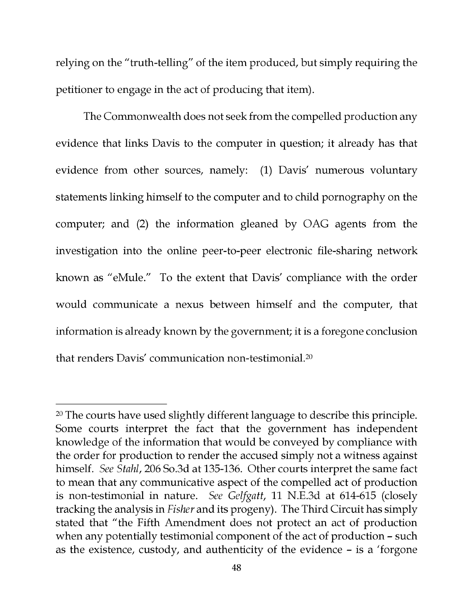relying on the "truth -telling" of the item produced, but simply requiring the petitioner to engage in the act of producing that item).

The Commonwealth does not seek from the compelled production any evidence that links Davis to the computer in question; it already has that evidence from other sources, namely: (1) Davis' numerous voluntary statements linking himself to the computer and to child pornography on the computer; and (2) the information gleaned by OAG agents from the investigation into the online peer-to-peer electronic file-sharing network known as "eMule." To the extent that Davis' compliance with the order would communicate a nexus between himself and the computer, that information is already known by the government; it is a foregone conclusion that renders Davis' communication non-testimonia1.20

<sup>&</sup>lt;sup>20</sup> The courts have used slightly different language to describe this principle. Some courts interpret the fact that the government has independent knowledge of the information that would be conveyed by compliance with the order for production to render the accused simply not a witness against himself. See Stahl, 206 So.3d at 135-136. Other courts interpret the same fact to mean that any communicative aspect of the compelled act of production is non -testimonial in nature. See Gelfgatt, 11 N.E.3d at 614-615 (closely tracking the analysis in Fisher and its progeny). The Third Circuit has simply stated that "the Fifth Amendment does not protect an act of production when any potentially testimonial component of the act of production - such as the existence, custody, and authenticity of the evidence - is a 'forgone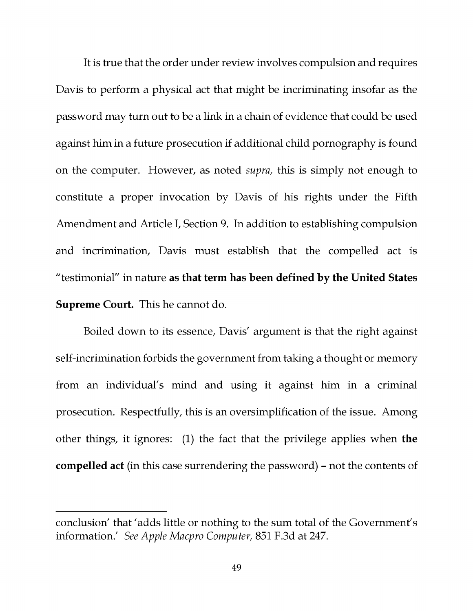It is true that the order under review involves compulsion and requires Davis to perform a physical act that might be incriminating insofar as the password may turn out to be a link in a chain of evidence that could be used against him in a future prosecution if additional child pornography is found on the computer. However, as noted supra, this is simply not enough to constitute a proper invocation by Davis of his rights under the Fifth Amendment and Article I, Section 9. In addition to establishing compulsion and incrimination, Davis must establish that the compelled act is "testimonial" in nature as that term has been defined by the United States Supreme Court. This he cannot do.

Boiled down to its essence, Davis' argument is that the right against self-incrimination forbids the government from taking a thought or memory from an individual's mind and using it against him in a criminal prosecution. Respectfully, this is an oversimplification of the issue. Among other things, it ignores: (1) the fact that the privilege applies when the compelled act (in this case surrendering the password) - not the contents of

conclusion' that 'adds little or nothing to the sum total of the Government's information.' See Apple Macpro Computer, 851 F.3d at 247.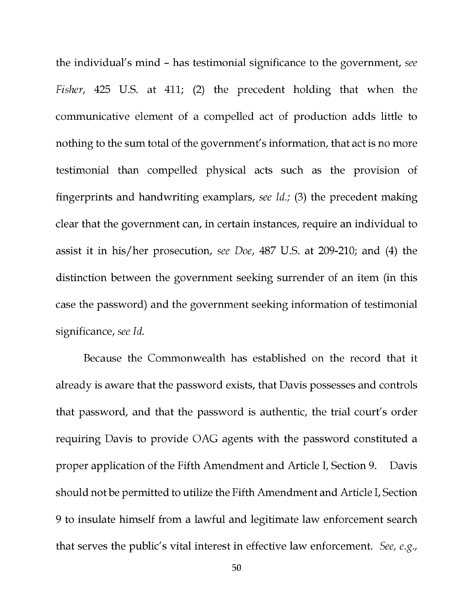the individual's mind - has testimonial significance to the government, see Fisher, 425 U.S. at 411; (2) the precedent holding that when the communicative element of a compelled act of production adds little to nothing to the sum total of the government's information, that act is no more testimonial than compelled physical acts such as the provision of fingerprints and handwriting examplars, see Id.; (3) the precedent making clear that the government can, in certain instances, require an individual to assist it in his/her prosecution, see Doe, 487 U.S. at 209-210; and (4) the distinction between the government seeking surrender of an item (in this case the password) and the government seeking information of testimonial significance, see Id.

Because the Commonwealth has established on the record that it already is aware that the password exists, that Davis possesses and controls that password, and that the password is authentic, the trial court's order requiring Davis to provide OAG agents with the password constituted a proper application of the Fifth Amendment and Article I, Section 9. Davis should not be permitted to utilize the Fifth Amendment and Article I, Section 9 to insulate himself from a lawful and legitimate law enforcement search that serves the public's vital interest in effective law enforcement. See, e.g.,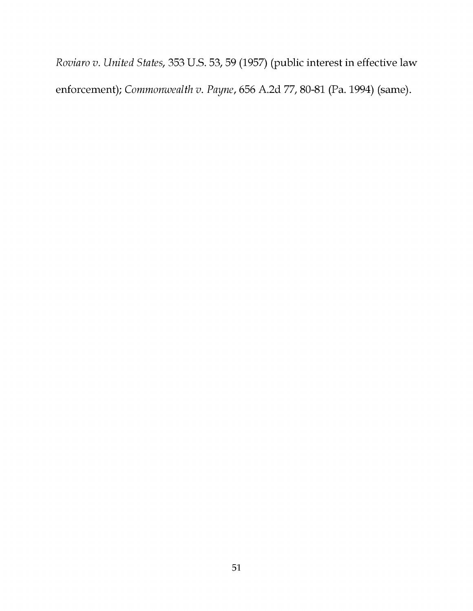Roviaro v. United States, 353 U.S. 53, 59 (1957) (public interest in effective law enforcement); Commonwealth v. Payne, 656 A.2d 77, 80-81 (Pa. 1994) (same).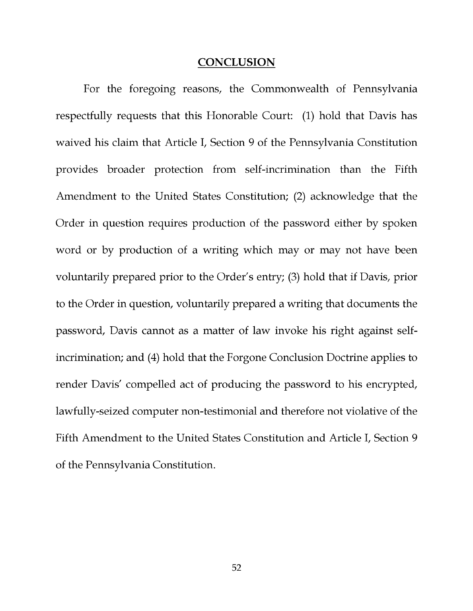#### **CONCLUSION**

For the foregoing reasons, the Commonwealth of Pennsylvania respectfully requests that this Honorable Court: (1) hold that Davis has waived his claim that Article I, Section 9 of the Pennsylvania Constitution provides broader protection from self-incrimination than the Fifth Amendment to the United States Constitution; (2) acknowledge that the Order in question requires production of the password either by spoken word or by production of a writing which may or may not have been voluntarily prepared prior to the Order's entry; (3) hold that if Davis, prior to the Order in question, voluntarily prepared a writing that documents the password, Davis cannot as a matter of law invoke his right against selfincrimination; and (4) hold that the Forgone Conclusion Doctrine applies to render Davis' compelled act of producing the password to his encrypted, lawfully -seized computer non -testimonial and therefore not violative of the Fifth Amendment to the United States Constitution and Article I, Section 9 of the Pennsylvania Constitution.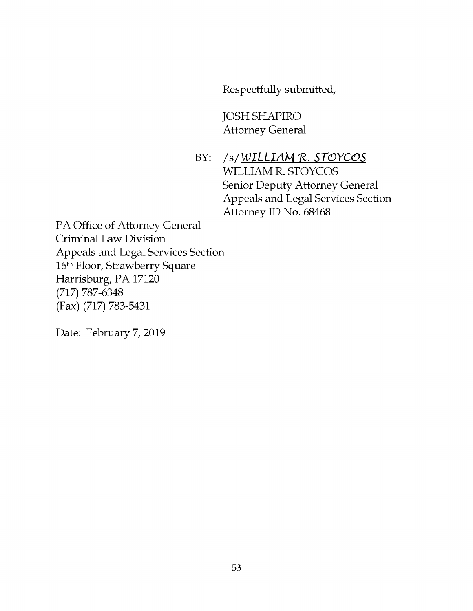Respectfully submitted,

JOSH SHAPIRO Attorney General

BY: /s/WILLIAM R. STOYCOS WILLIAM R. STOYCOS Senior Deputy Attorney General Appeals and Legal Services Section Attorney ID No. 68468

PA Office of Attorney General Criminal Law Division Appeals and Legal Services Section 16th Floor, Strawberry Square Harrisburg, PA 17120 (717) 787-6348 (Fax) (717) 783-5431

Date: February 7, 2019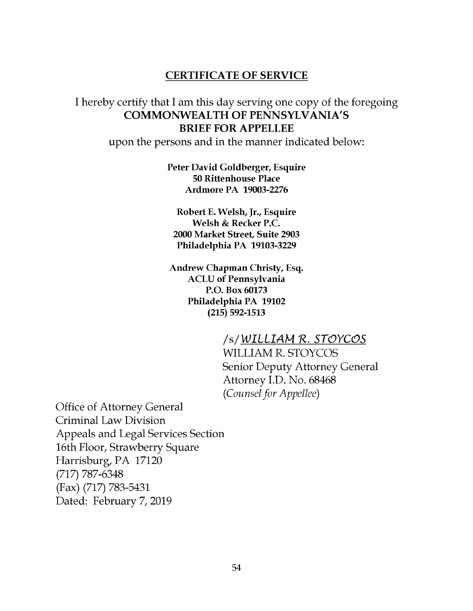#### CERTIFICATE OF SERVICE

## I hereby certify that I am this day serving one copy of the foregoing COMMONWEALTH OF PENNSYLVANIA'S BRIEF FOR APPELLEE

upon the persons and in the manner indicated below:

Peter David Goldberger, Esquire 50 Rittenhouse Place Ardmore PA 19003-2276

Robert E. Welsh, Jr., Esquire Welsh & Recker P.C. 2000 Market Street, Suite 2903 Philadelphia PA 19103-3229

Andrew Chapman Christy, Esq. ACLU of Pennsylvania P.O. Box 60173 Philadelphia PA 19102 (215) 592-1513

> /s/ WILLIAM R. STOYCOS WILLIAM R. STOYCOS Senior Deputy Attorney General Attorney I.D. No. 68468 (Counsel for Appellee)

Office of Attorney General Criminal Law Division Appeals and Legal Services Section 16th Floor, Strawberry Square Harrisburg, PA 17120 (717) 787-6348 (Fax) (717) 783-5431 Dated: February 7, 2019